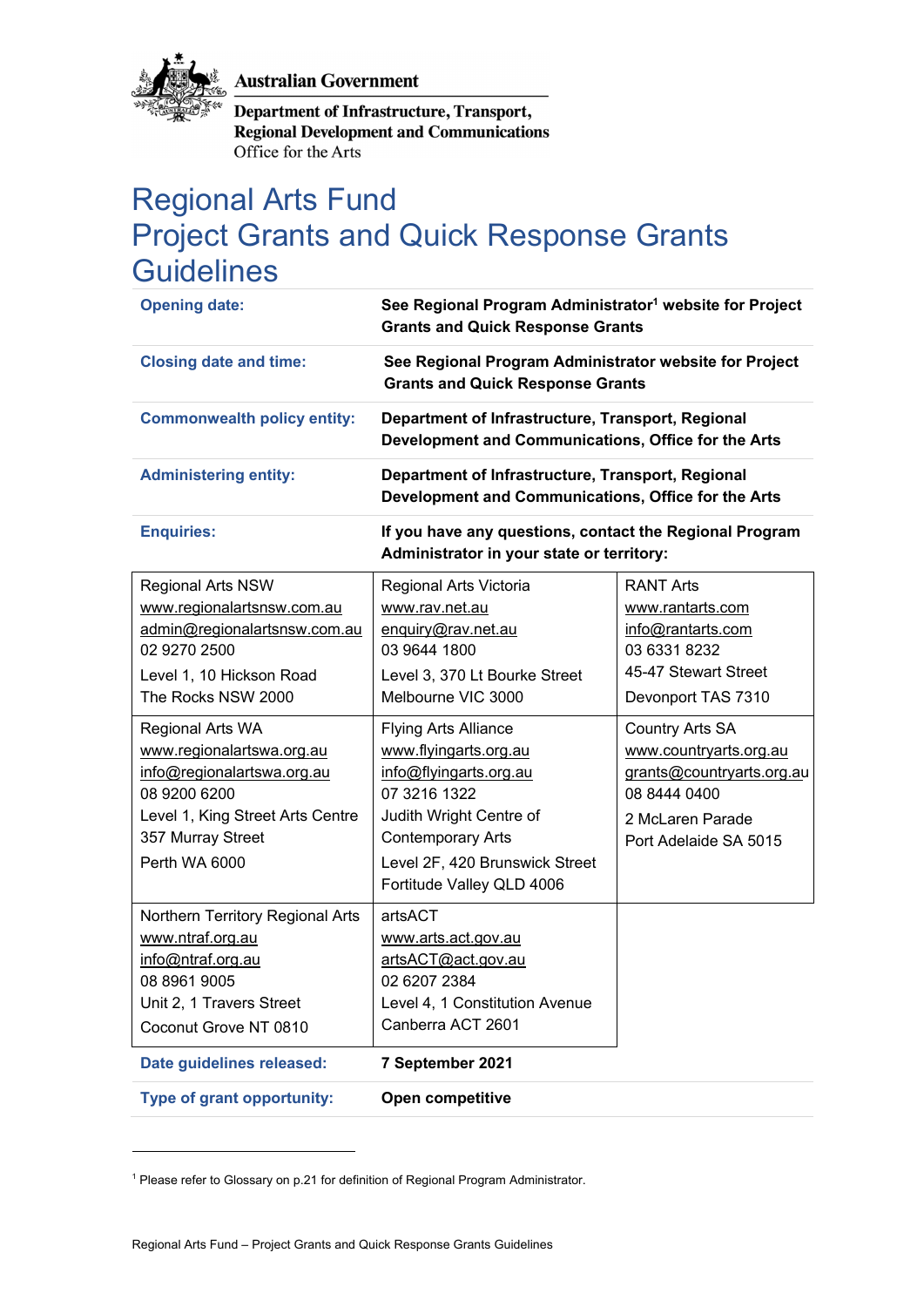**Australian Government** 



**Department of Infrastructure, Transport, Regional Development and Communications** Office for the Arts

# Regional Arts Fund Project Grants and Quick Response Grants **Guidelines**

| <b>Opening date:</b>                                                                                                                                                                                                                                                                                                              | See Regional Program Administrator <sup>1</sup> website for Project<br><b>Grants and Quick Response Grants</b>                                                                                                                                                                                                                                                |                                                                                                                                                                                                                                                                       |
|-----------------------------------------------------------------------------------------------------------------------------------------------------------------------------------------------------------------------------------------------------------------------------------------------------------------------------------|---------------------------------------------------------------------------------------------------------------------------------------------------------------------------------------------------------------------------------------------------------------------------------------------------------------------------------------------------------------|-----------------------------------------------------------------------------------------------------------------------------------------------------------------------------------------------------------------------------------------------------------------------|
| <b>Closing date and time:</b>                                                                                                                                                                                                                                                                                                     | See Regional Program Administrator website for Project<br><b>Grants and Quick Response Grants</b>                                                                                                                                                                                                                                                             |                                                                                                                                                                                                                                                                       |
| <b>Commonwealth policy entity:</b>                                                                                                                                                                                                                                                                                                | Department of Infrastructure, Transport, Regional<br>Development and Communications, Office for the Arts                                                                                                                                                                                                                                                      |                                                                                                                                                                                                                                                                       |
| <b>Administering entity:</b>                                                                                                                                                                                                                                                                                                      | Department of Infrastructure, Transport, Regional<br>Development and Communications, Office for the Arts                                                                                                                                                                                                                                                      |                                                                                                                                                                                                                                                                       |
| <b>Enquiries:</b>                                                                                                                                                                                                                                                                                                                 | If you have any questions, contact the Regional Program<br>Administrator in your state or territory:                                                                                                                                                                                                                                                          |                                                                                                                                                                                                                                                                       |
| <b>Regional Arts NSW</b><br>www.regionalartsnsw.com.au<br>admin@regionalartsnsw.com.au<br>02 9270 2500<br>Level 1, 10 Hickson Road<br>The Rocks NSW 2000<br>Regional Arts WA<br>www.regionalartswa.org.au<br>info@regionalartswa.org.au<br>08 9200 6200<br>Level 1, King Street Arts Centre<br>357 Murray Street<br>Perth WA 6000 | Regional Arts Victoria<br>www.rav.net.au<br>enquiry@rav.net.au<br>03 9644 1800<br>Level 3, 370 Lt Bourke Street<br>Melbourne VIC 3000<br><b>Flying Arts Alliance</b><br>www.flyingarts.org.au<br>info@flyingarts.org.au<br>07 3216 1322<br>Judith Wright Centre of<br><b>Contemporary Arts</b><br>Level 2F, 420 Brunswick Street<br>Fortitude Valley QLD 4006 | <b>RANT Arts</b><br>www.rantarts.com<br>info@rantarts.com<br>03 6331 8232<br>45-47 Stewart Street<br>Devonport TAS 7310<br><b>Country Arts SA</b><br>www.countryarts.org.au<br>grants@countryarts.org.au<br>08 8444 0400<br>2 McLaren Parade<br>Port Adelaide SA 5015 |
| Northern Territory Regional Arts<br>www.ntraf.org.au<br>info@ntraf.org.au<br>08 8961 9005<br>Unit 2, 1 Travers Street<br>Coconut Grove NT 0810                                                                                                                                                                                    | artsACT<br>www.arts.act.gov.au<br>artsACT@act.gov.au<br>02 6207 2384<br>Level 4, 1 Constitution Avenue<br>Canberra ACT 2601                                                                                                                                                                                                                                   |                                                                                                                                                                                                                                                                       |
| Date guidelines released:                                                                                                                                                                                                                                                                                                         | 7 September 2021                                                                                                                                                                                                                                                                                                                                              |                                                                                                                                                                                                                                                                       |
| Type of grant opportunity:                                                                                                                                                                                                                                                                                                        | Open competitive                                                                                                                                                                                                                                                                                                                                              |                                                                                                                                                                                                                                                                       |

<sup>&</sup>lt;sup>1</sup> Please refer to Glossary on p.21 for definition of Regional Program Administrator.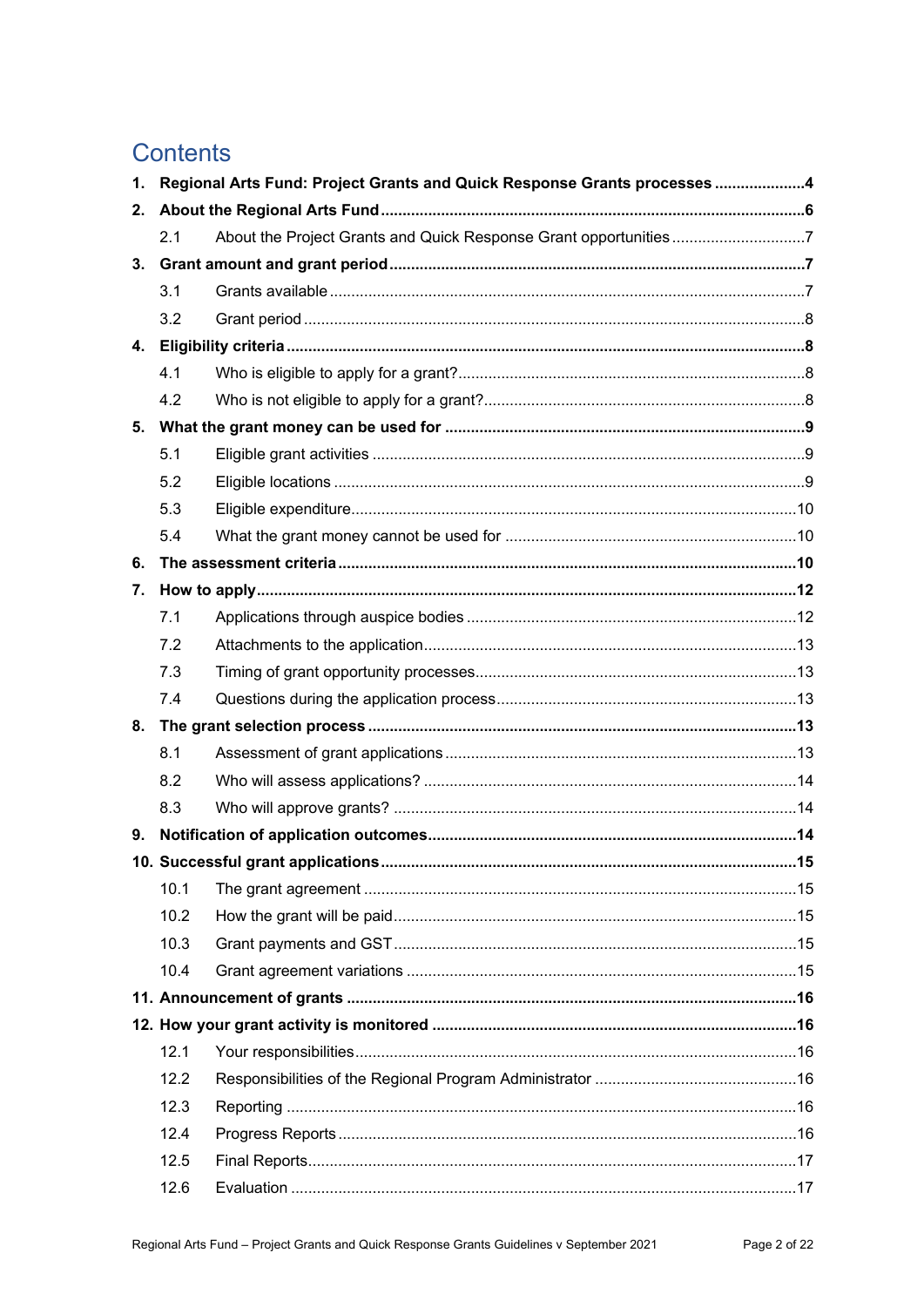## **Contents**

| $\mathbf{1}$ . | Regional Arts Fund: Project Grants and Quick Response Grants processes 4 |                                   |    |
|----------------|--------------------------------------------------------------------------|-----------------------------------|----|
| 2.             |                                                                          |                                   |    |
|                | 2.1                                                                      |                                   |    |
| 3.             |                                                                          |                                   |    |
|                | 3.1                                                                      |                                   |    |
|                | 3.2                                                                      |                                   |    |
| 4.             |                                                                          |                                   |    |
|                | 4.1                                                                      |                                   |    |
|                | 4.2                                                                      |                                   |    |
| 5.             |                                                                          |                                   |    |
|                | 5.1                                                                      |                                   |    |
|                | 5.2                                                                      |                                   |    |
|                | 5.3                                                                      |                                   |    |
|                | 5.4                                                                      |                                   |    |
| 6.             |                                                                          |                                   |    |
| 7.             |                                                                          |                                   |    |
|                | 7.1                                                                      |                                   |    |
|                | 7.2                                                                      |                                   |    |
|                | 7.3                                                                      |                                   |    |
|                | 7.4                                                                      |                                   |    |
| 8.             |                                                                          |                                   |    |
|                | 8.1                                                                      |                                   |    |
|                | 8.2                                                                      |                                   |    |
|                | 8.3                                                                      |                                   |    |
| 9.             |                                                                          |                                   |    |
|                |                                                                          | 10. Successful grant applications | 15 |
|                | 10.1                                                                     |                                   |    |
|                | 10.2                                                                     |                                   |    |
|                | 10.3                                                                     |                                   |    |
|                | 10.4                                                                     |                                   |    |
|                |                                                                          |                                   |    |
|                |                                                                          |                                   |    |
|                | 12.1                                                                     |                                   |    |
|                | 12.2                                                                     |                                   |    |
|                | 12.3                                                                     |                                   |    |
|                | 12.4                                                                     |                                   |    |
|                | 12.5                                                                     |                                   |    |
|                | 12.6                                                                     |                                   |    |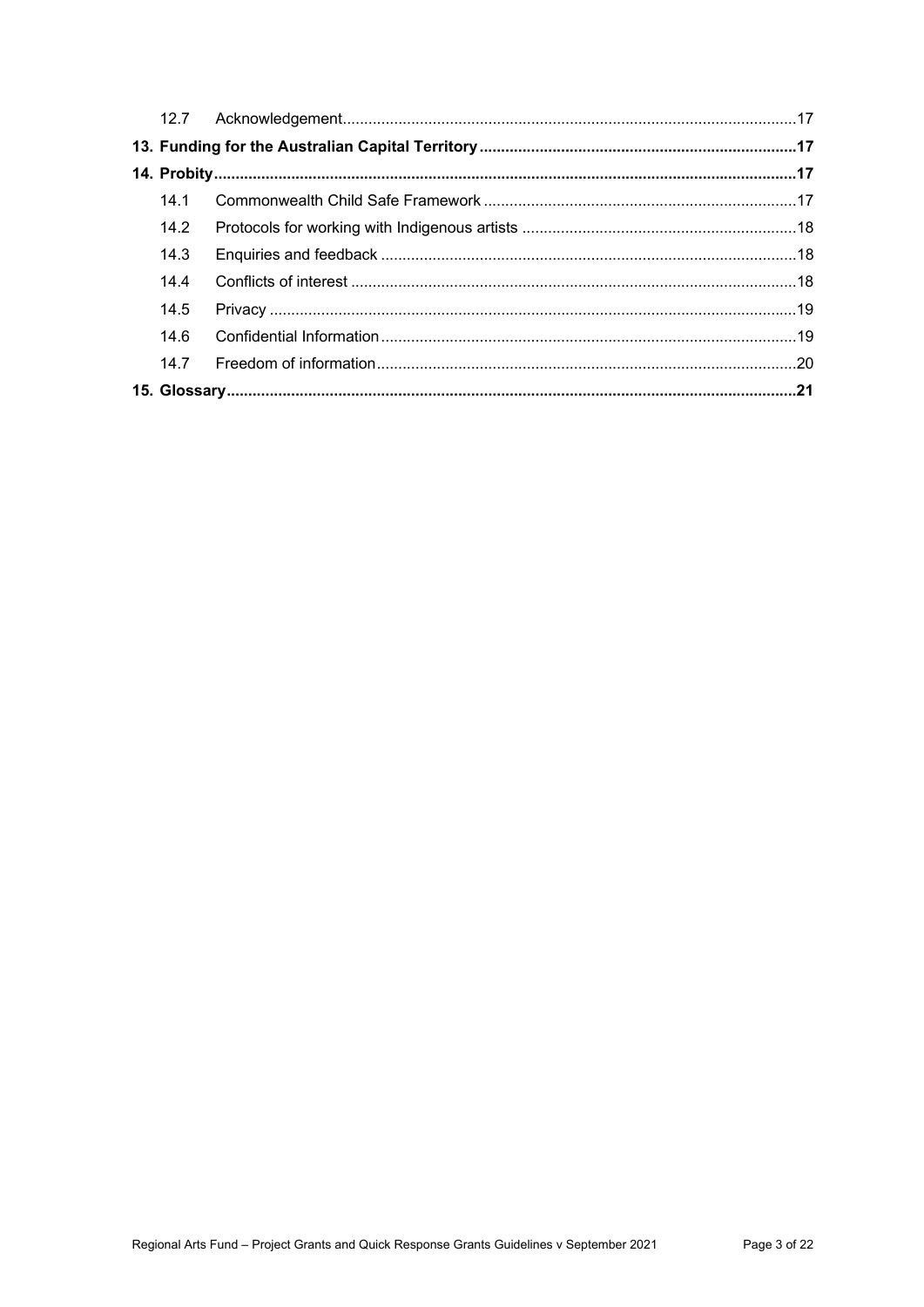| 14.1 |  |
|------|--|
| 14.2 |  |
| 14.3 |  |
| 14.4 |  |
| 14.5 |  |
| 14.6 |  |
| 14.7 |  |
|      |  |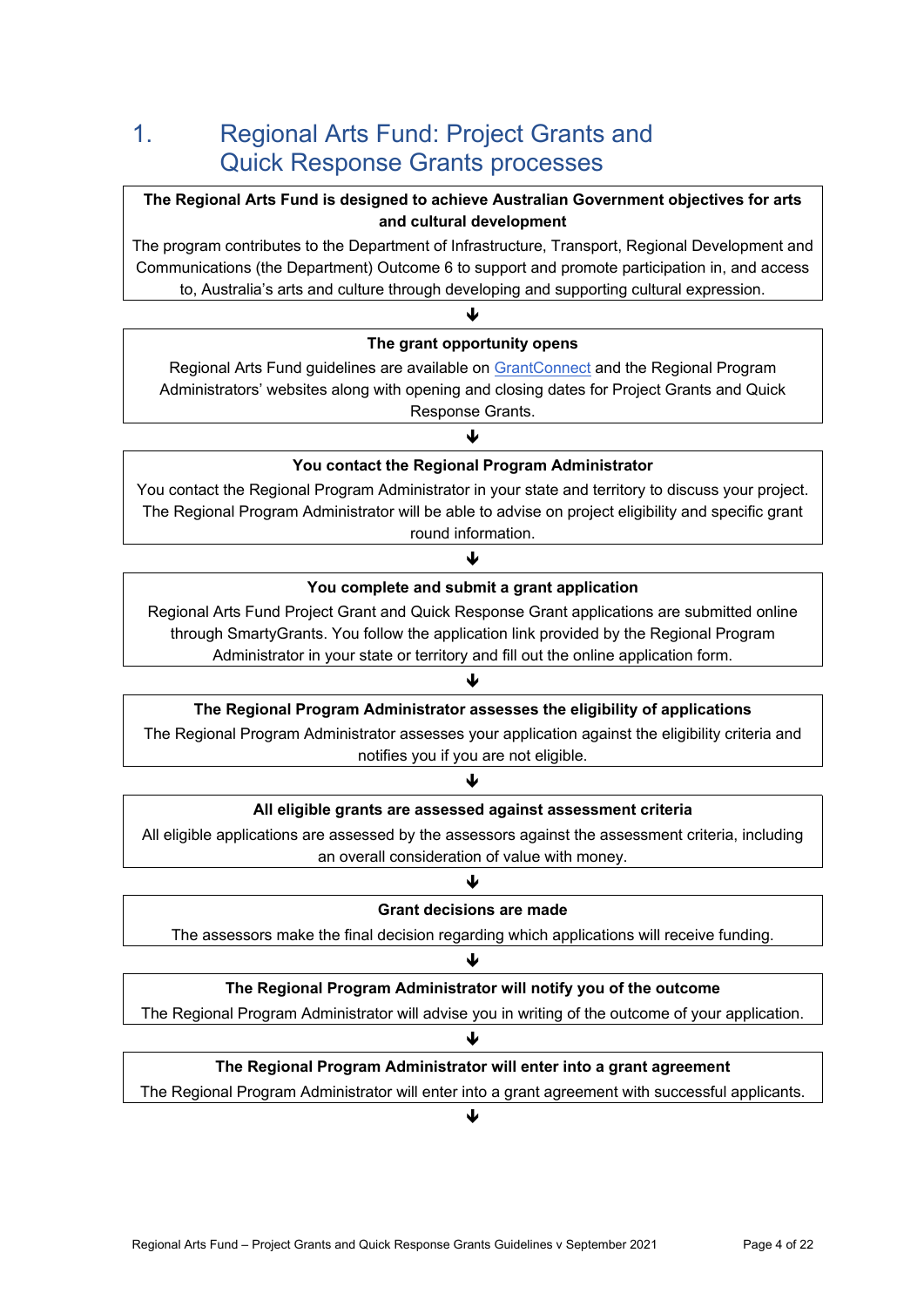# 1. Regional Arts Fund: Project Grants and Quick Response Grants processes

#### **The Regional Arts Fund is designed to achieve Australian Government objectives for arts and cultural development**

The program contributes to the Department of Infrastructure, Transport, Regional Development and Communications (the Department) Outcome 6 to support and promote participation in, and access to, Australia's arts and culture through developing and supporting cultural expression.



The Regional Program Administrator will enter into a grant agreement with successful applicants. ₩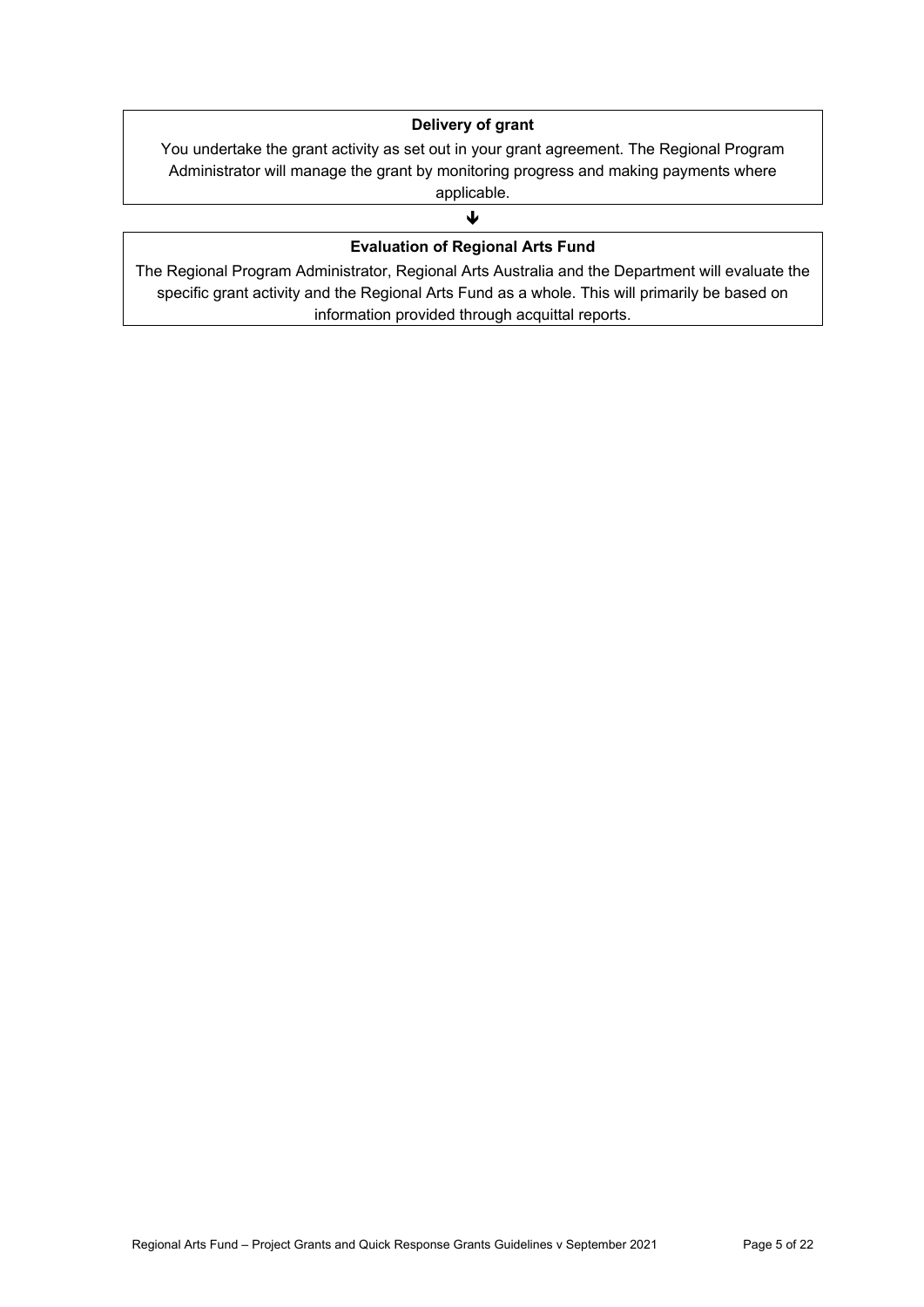#### **Delivery of grant**

You undertake the grant activity as set out in your grant agreement. The Regional Program Administrator will manage the grant by monitoring progress and making payments where applicable.

## J **Evaluation of Regional Arts Fund**

The Regional Program Administrator, Regional Arts Australia and the Department will evaluate the specific grant activity and the Regional Arts Fund as a whole. This will primarily be based on information provided through acquittal reports.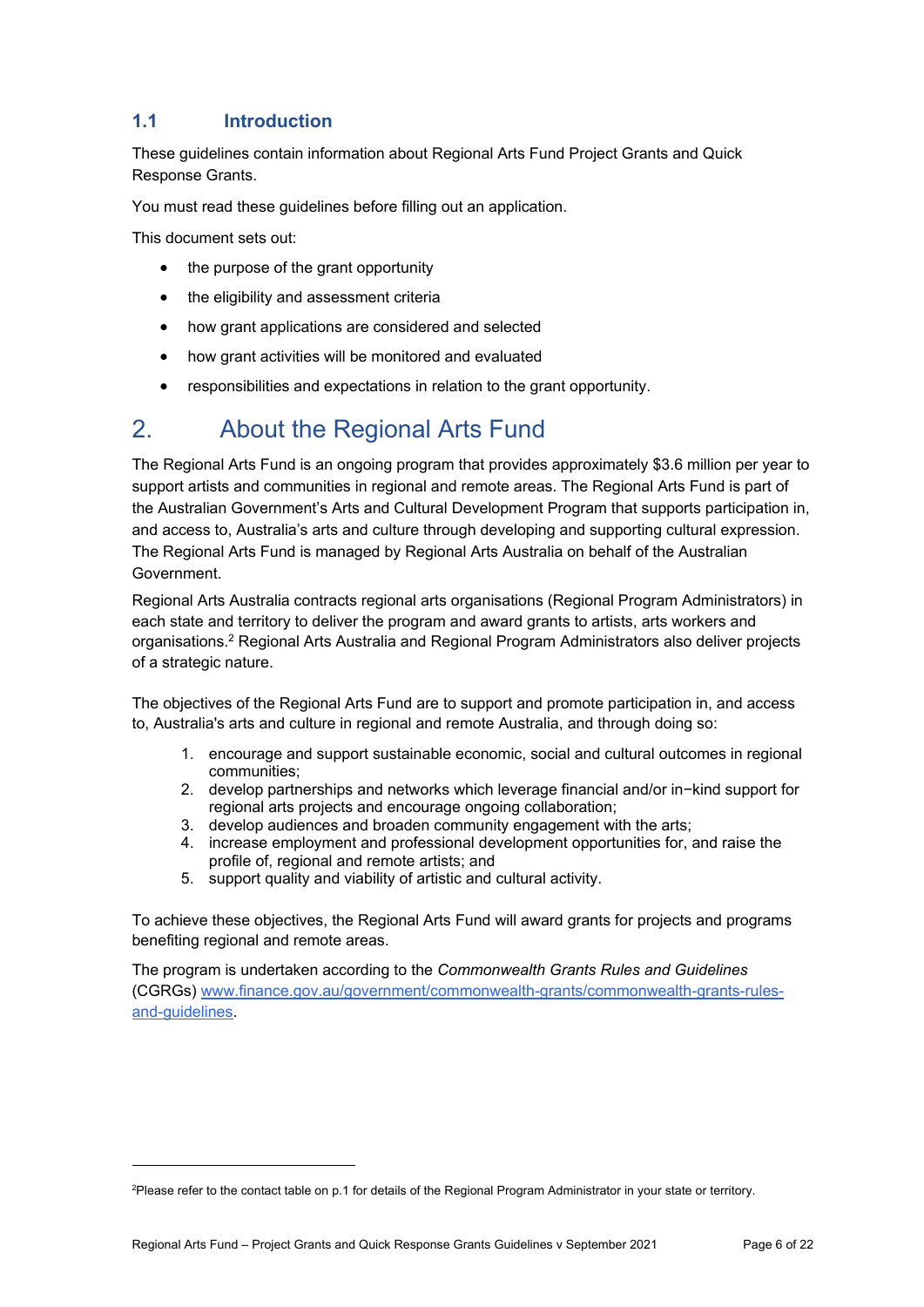## **1.1 Introduction**

These guidelines contain information about Regional Arts Fund Project Grants and Quick Response Grants.

You must read these guidelines before filling out an application.

This document sets out:

1

- the purpose of the grant opportunity
- the eligibility and assessment criteria
- how grant applications are considered and selected
- how grant activities will be monitored and evaluated
- responsibilities and expectations in relation to the grant opportunity.

## 2. About the Regional Arts Fund

The Regional Arts Fund is an ongoing program that provides approximately \$3.6 million per year to support artists and communities in regional and remote areas. The Regional Arts Fund is part of the Australian Government's Arts and Cultural Development Program that supports participation in, and access to, Australia's arts and culture through developing and supporting cultural expression. The Regional Arts Fund is managed by Regional Arts Australia on behalf of the Australian **Government** 

Regional Arts Australia contracts regional arts organisations (Regional Program Administrators) in each state and territory to deliver the program and award grants to artists, arts workers and organisations.2 Regional Arts Australia and Regional Program Administrators also deliver projects of a strategic nature.

The objectives of the Regional Arts Fund are to support and promote participation in, and access to, Australia's arts and culture in regional and remote Australia, and through doing so:

- 1. encourage and support sustainable economic, social and cultural outcomes in regional communities;
- 2. develop partnerships and networks which leverage financial and/or in−kind support for regional arts projects and encourage ongoing collaboration;
- 3. develop audiences and broaden community engagement with the arts;
- 4. increase employment and professional development opportunities for, and raise the profile of, regional and remote artists; and
- 5. support quality and viability of artistic and cultural activity.

To achieve these objectives, the Regional Arts Fund will award grants for projects and programs benefiting regional and remote areas.

The program is undertaken according to the *Commonwealth Grants Rules and Guidelines*  (CGRGs) www.finance.gov.au/government/commonwealth-grants/commonwealth-grants-rulesand-guidelines.

<sup>2</sup> Please refer to the contact table on p.1 for details of the Regional Program Administrator in your state or territory.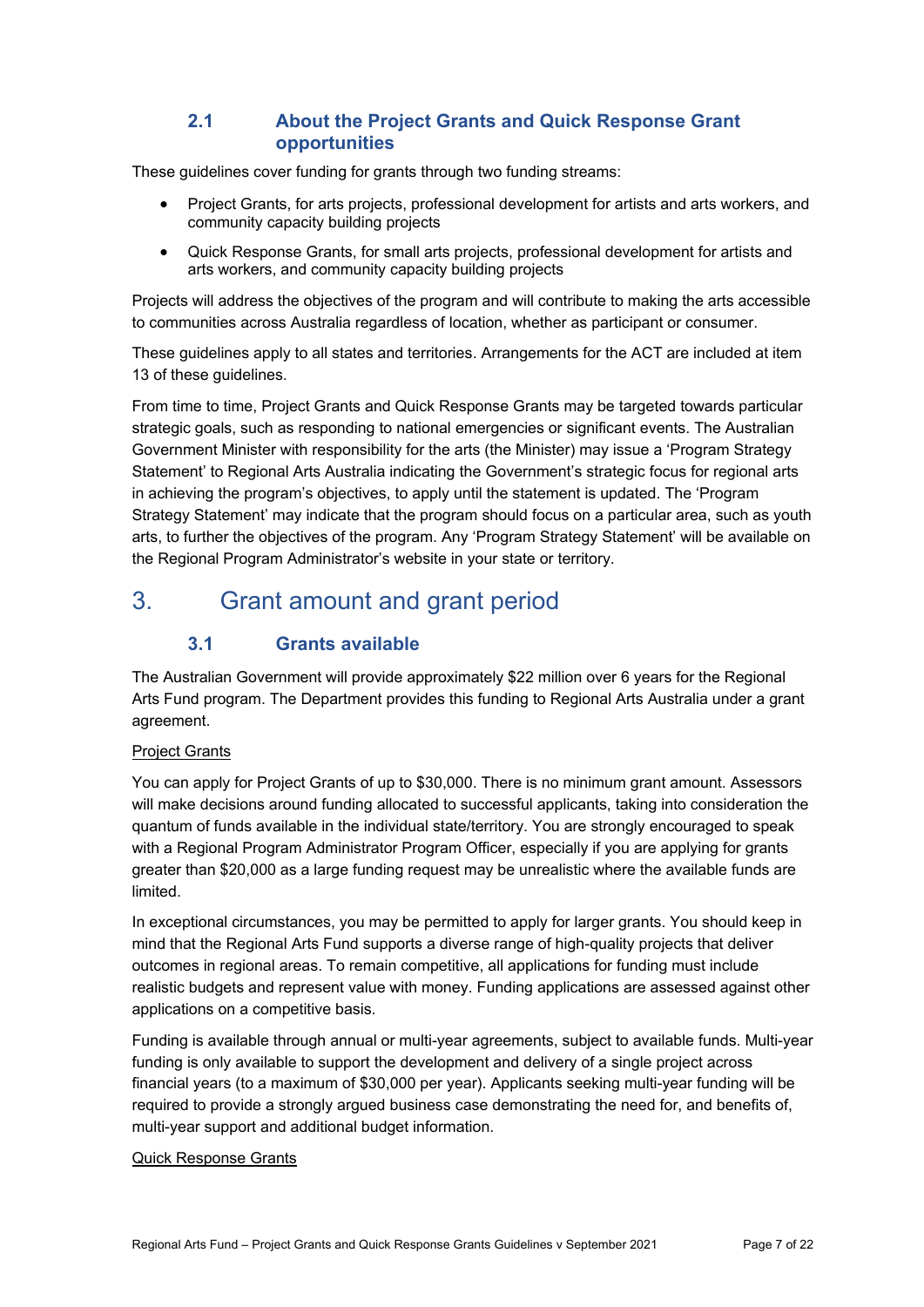### **2.1 About the Project Grants and Quick Response Grant opportunities**

These guidelines cover funding for grants through two funding streams:

- Project Grants, for arts projects, professional development for artists and arts workers, and community capacity building projects
- Quick Response Grants, for small arts projects, professional development for artists and arts workers, and community capacity building projects

Projects will address the objectives of the program and will contribute to making the arts accessible to communities across Australia regardless of location, whether as participant or consumer.

These guidelines apply to all states and territories. Arrangements for the ACT are included at item 13 of these guidelines.

From time to time, Project Grants and Quick Response Grants may be targeted towards particular strategic goals, such as responding to national emergencies or significant events. The Australian Government Minister with responsibility for the arts (the Minister) may issue a 'Program Strategy Statement' to Regional Arts Australia indicating the Government's strategic focus for regional arts in achieving the program's objectives, to apply until the statement is updated. The 'Program Strategy Statement' may indicate that the program should focus on a particular area, such as youth arts, to further the objectives of the program. Any 'Program Strategy Statement' will be available on the Regional Program Administrator's website in your state or territory.

# 3. Grant amount and grant period

## **3.1 Grants available**

The Australian Government will provide approximately \$22 million over 6 years for the Regional Arts Fund program. The Department provides this funding to Regional Arts Australia under a grant agreement.

#### Project Grants

You can apply for Project Grants of up to \$30,000. There is no minimum grant amount. Assessors will make decisions around funding allocated to successful applicants, taking into consideration the quantum of funds available in the individual state/territory. You are strongly encouraged to speak with a Regional Program Administrator Program Officer, especially if you are applying for grants greater than \$20,000 as a large funding request may be unrealistic where the available funds are limited.

In exceptional circumstances, you may be permitted to apply for larger grants. You should keep in mind that the Regional Arts Fund supports a diverse range of high-quality projects that deliver outcomes in regional areas. To remain competitive, all applications for funding must include realistic budgets and represent value with money. Funding applications are assessed against other applications on a competitive basis.

Funding is available through annual or multi-year agreements, subject to available funds. Multi-year funding is only available to support the development and delivery of a single project across financial years (to a maximum of \$30,000 per year). Applicants seeking multi-year funding will be required to provide a strongly argued business case demonstrating the need for, and benefits of, multi-year support and additional budget information.

#### Quick Response Grants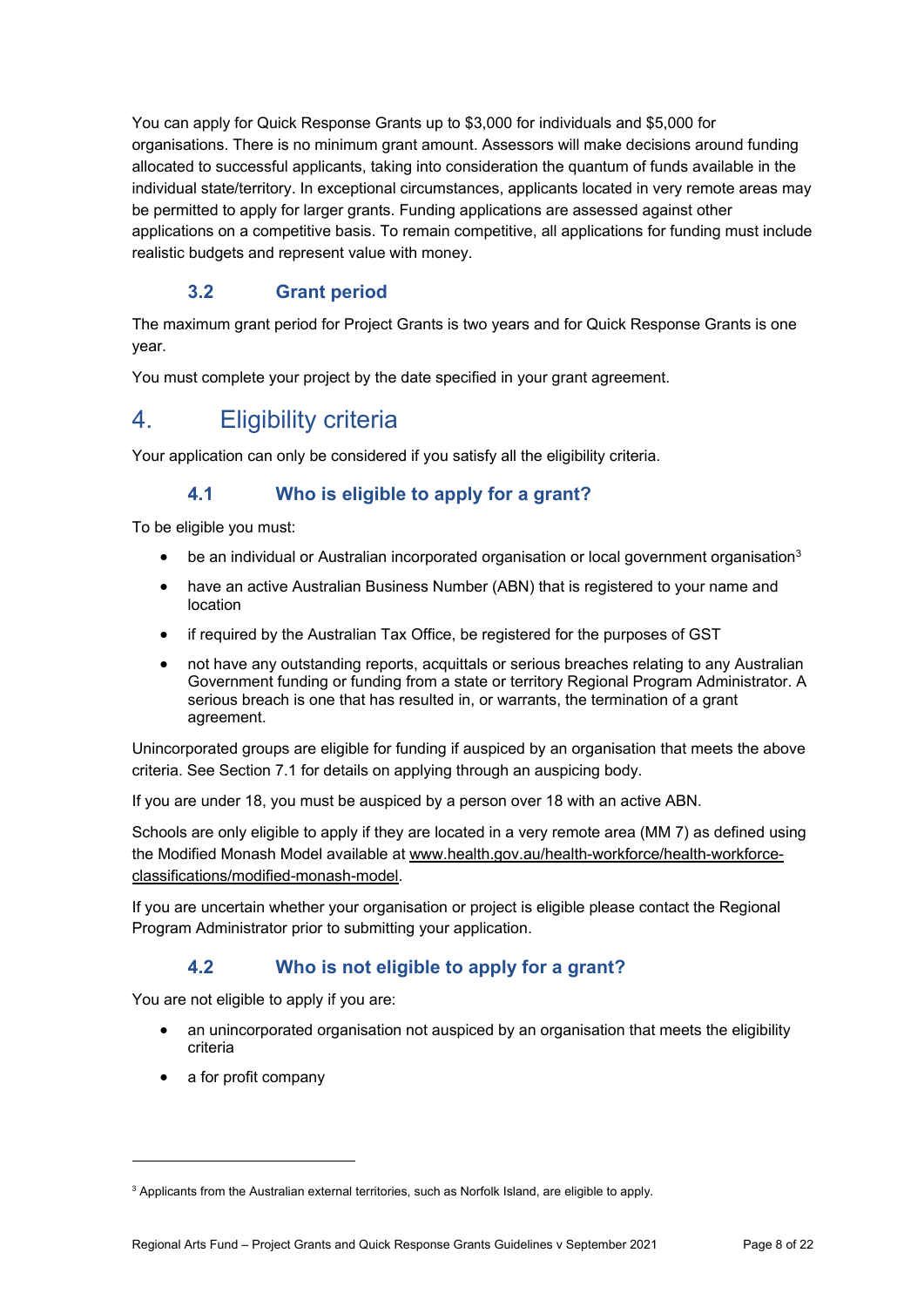You can apply for Quick Response Grants up to \$3,000 for individuals and \$5,000 for organisations. There is no minimum grant amount. Assessors will make decisions around funding allocated to successful applicants, taking into consideration the quantum of funds available in the individual state/territory. In exceptional circumstances, applicants located in very remote areas may be permitted to apply for larger grants. Funding applications are assessed against other applications on a competitive basis. To remain competitive, all applications for funding must include realistic budgets and represent value with money.

## **3.2 Grant period**

The maximum grant period for Project Grants is two years and for Quick Response Grants is one year.

You must complete your project by the date specified in your grant agreement.

# 4. Eligibility criteria

Your application can only be considered if you satisfy all the eligibility criteria.

### **4.1 Who is eligible to apply for a grant?**

To be eligible you must:

- $\bullet$  be an individual or Australian incorporated organisation or local government organisation<sup>3</sup>
- have an active Australian Business Number (ABN) that is registered to your name and location
- if required by the Australian Tax Office, be registered for the purposes of GST
- not have any outstanding reports, acquittals or serious breaches relating to any Australian Government funding or funding from a state or territory Regional Program Administrator. A serious breach is one that has resulted in, or warrants, the termination of a grant agreement.

Unincorporated groups are eligible for funding if auspiced by an organisation that meets the above criteria. See Section 7.1 for details on applying through an auspicing body.

If you are under 18, you must be auspiced by a person over 18 with an active ABN.

Schools are only eligible to apply if they are located in a very remote area (MM 7) as defined using the Modified Monash Model available at www.health.gov.au/health-workforce/health-workforceclassifications/modified-monash-model.

If you are uncertain whether your organisation or project is eligible please contact the Regional Program Administrator prior to submitting your application.

### **4.2 Who is not eligible to apply for a grant?**

You are not eligible to apply if you are:

- an unincorporated organisation not auspiced by an organisation that meets the eligibility criteria
- a for profit company

1

 $3$  Applicants from the Australian external territories, such as Norfolk Island, are eligible to apply.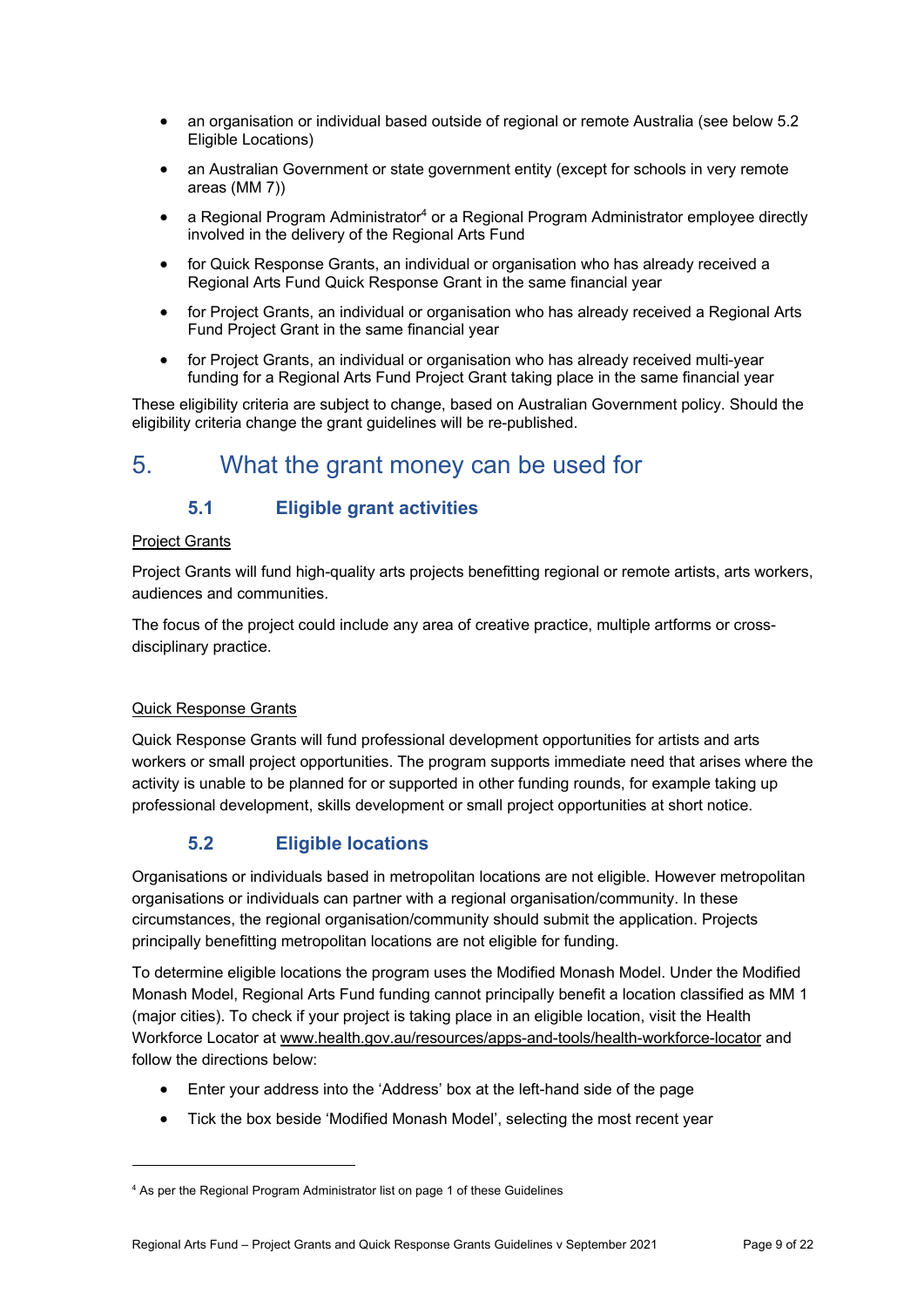- an organisation or individual based outside of regional or remote Australia (see below 5.2 Eligible Locations)
- an Australian Government or state government entity (except for schools in very remote areas (MM 7))
- a Regional Program Administrator<sup>4</sup> or a Regional Program Administrator employee directly involved in the delivery of the Regional Arts Fund
- for Quick Response Grants, an individual or organisation who has already received a Regional Arts Fund Quick Response Grant in the same financial year
- for Project Grants, an individual or organisation who has already received a Regional Arts Fund Project Grant in the same financial year
- for Project Grants, an individual or organisation who has already received multi-year funding for a Regional Arts Fund Project Grant taking place in the same financial year

These eligibility criteria are subject to change, based on Australian Government policy. Should the eligibility criteria change the grant guidelines will be re-published.

## 5. What the grant money can be used for

### **5.1 Eligible grant activities**

#### Project Grants

Project Grants will fund high-quality arts projects benefitting regional or remote artists, arts workers, audiences and communities.

The focus of the project could include any area of creative practice, multiple artforms or crossdisciplinary practice.

#### Quick Response Grants

1

Quick Response Grants will fund professional development opportunities for artists and arts workers or small project opportunities. The program supports immediate need that arises where the activity is unable to be planned for or supported in other funding rounds, for example taking up professional development, skills development or small project opportunities at short notice.

### **5.2 Eligible locations**

Organisations or individuals based in metropolitan locations are not eligible. However metropolitan organisations or individuals can partner with a regional organisation/community. In these circumstances, the regional organisation/community should submit the application. Projects principally benefitting metropolitan locations are not eligible for funding.

To determine eligible locations the program uses the Modified Monash Model. Under the Modified Monash Model, Regional Arts Fund funding cannot principally benefit a location classified as MM 1 (major cities). To check if your project is taking place in an eligible location, visit the Health Workforce Locator at www.health.gov.au/resources/apps-and-tools/health-workforce-locator and follow the directions below:

- Enter your address into the 'Address' box at the left-hand side of the page
- Tick the box beside 'Modified Monash Model', selecting the most recent year

<sup>&</sup>lt;sup>4</sup> As per the Regional Program Administrator list on page 1 of these Guidelines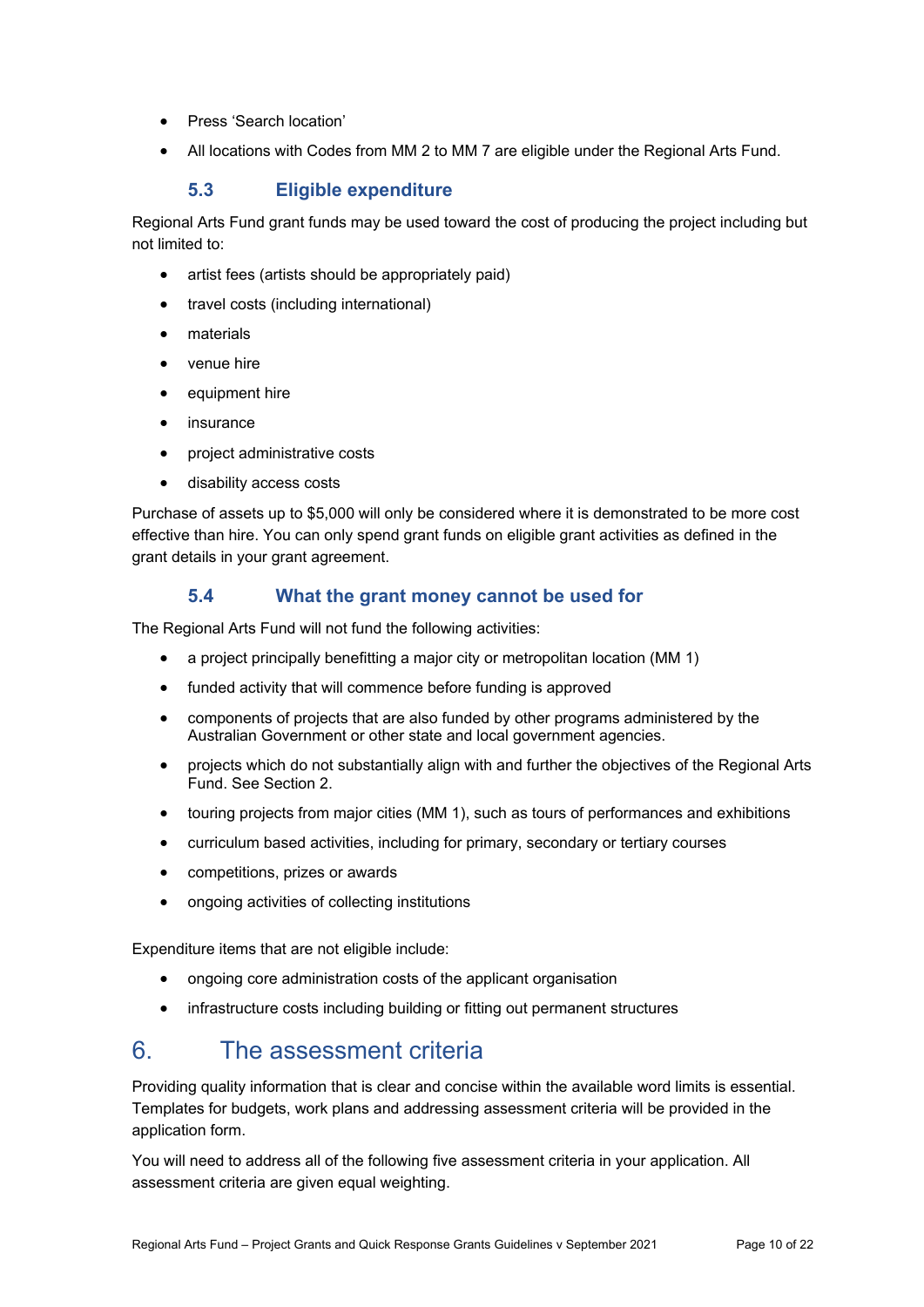- Press 'Search location'
- All locations with Codes from MM 2 to MM 7 are eligible under the Regional Arts Fund.

#### **5.3 Eligible expenditure**

Regional Arts Fund grant funds may be used toward the cost of producing the project including but not limited to:

- artist fees (artists should be appropriately paid)
- travel costs (including international)
- materials
- venue hire
- equipment hire
- insurance
- project administrative costs
- disability access costs

Purchase of assets up to \$5,000 will only be considered where it is demonstrated to be more cost effective than hire. You can only spend grant funds on eligible grant activities as defined in the grant details in your grant agreement.

#### **5.4 What the grant money cannot be used for**

The Regional Arts Fund will not fund the following activities:

- a project principally benefitting a major city or metropolitan location (MM 1)
- funded activity that will commence before funding is approved
- components of projects that are also funded by other programs administered by the Australian Government or other state and local government agencies.
- projects which do not substantially align with and further the objectives of the Regional Arts Fund. See Section 2.
- touring projects from major cities (MM 1), such as tours of performances and exhibitions
- curriculum based activities, including for primary, secondary or tertiary courses
- competitions, prizes or awards
- ongoing activities of collecting institutions

Expenditure items that are not eligible include:

- ongoing core administration costs of the applicant organisation
- infrastructure costs including building or fitting out permanent structures

## 6. The assessment criteria

Providing quality information that is clear and concise within the available word limits is essential. Templates for budgets, work plans and addressing assessment criteria will be provided in the application form.

You will need to address all of the following five assessment criteria in your application. All assessment criteria are given equal weighting.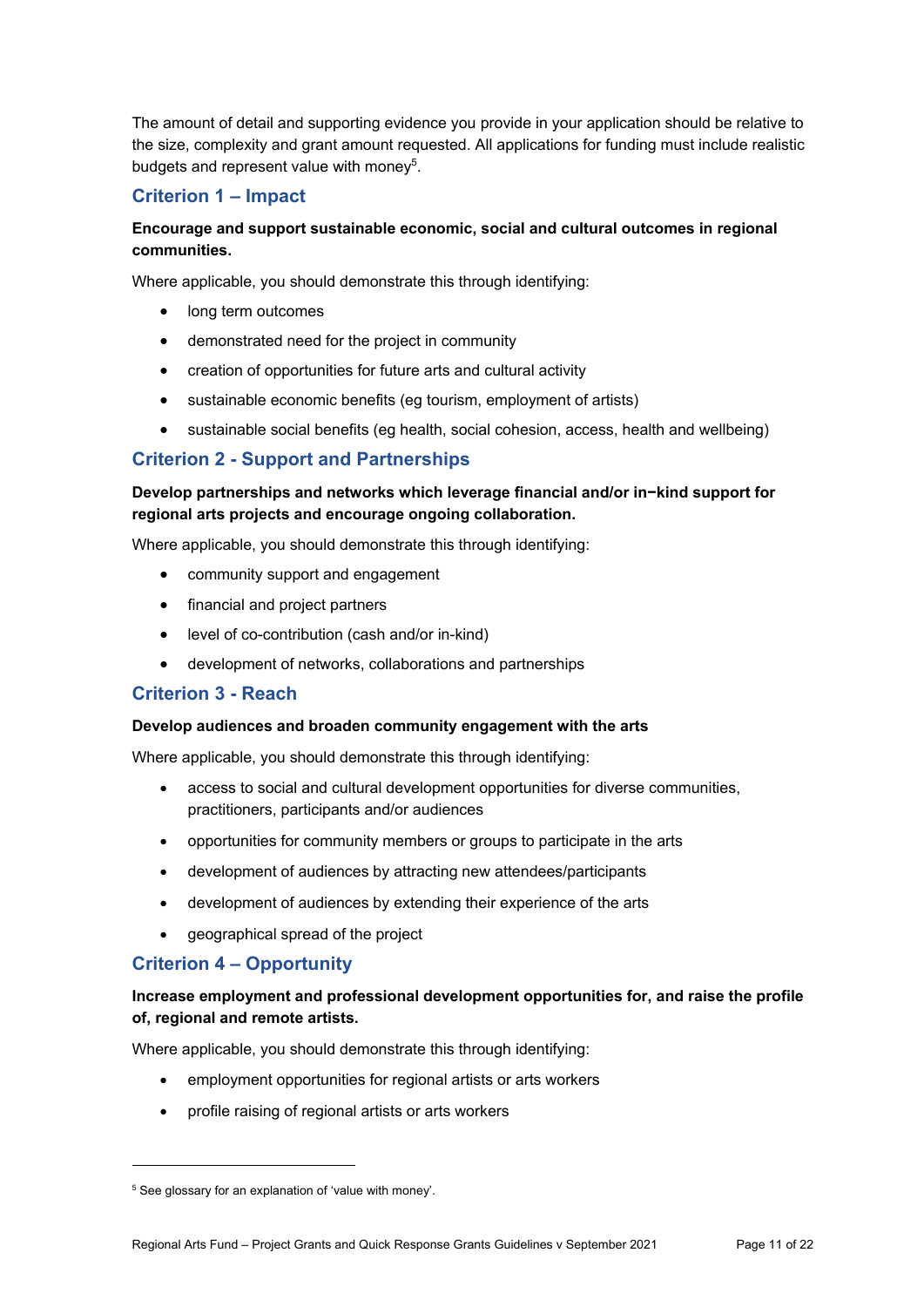The amount of detail and supporting evidence you provide in your application should be relative to the size, complexity and grant amount requested. All applications for funding must include realistic budgets and represent value with money<sup>5</sup>.

#### **Criterion 1 – Impact**

#### **Encourage and support sustainable economic, social and cultural outcomes in regional communities.**

Where applicable, you should demonstrate this through identifying:

- long term outcomes
- demonstrated need for the project in community
- creation of opportunities for future arts and cultural activity
- sustainable economic benefits (eg tourism, employment of artists)
- sustainable social benefits (eg health, social cohesion, access, health and wellbeing)

#### **Criterion 2 - Support and Partnerships**

#### **Develop partnerships and networks which leverage financial and/or in−kind support for regional arts projects and encourage ongoing collaboration.**

Where applicable, you should demonstrate this through identifying:

- community support and engagement
- financial and project partners
- level of co-contribution (cash and/or in-kind)
- development of networks, collaborations and partnerships

#### **Criterion 3 - Reach**

#### **Develop audiences and broaden community engagement with the arts**

Where applicable, you should demonstrate this through identifying:

- access to social and cultural development opportunities for diverse communities, practitioners, participants and/or audiences
- opportunities for community members or groups to participate in the arts
- development of audiences by attracting new attendees/participants
- development of audiences by extending their experience of the arts
- geographical spread of the project

#### **Criterion 4 – Opportunity**

1

#### **Increase employment and professional development opportunities for, and raise the profile of, regional and remote artists.**

Where applicable, you should demonstrate this through identifying:

- employment opportunities for regional artists or arts workers
- profile raising of regional artists or arts workers

<sup>&</sup>lt;sup>5</sup> See glossary for an explanation of 'value with money'.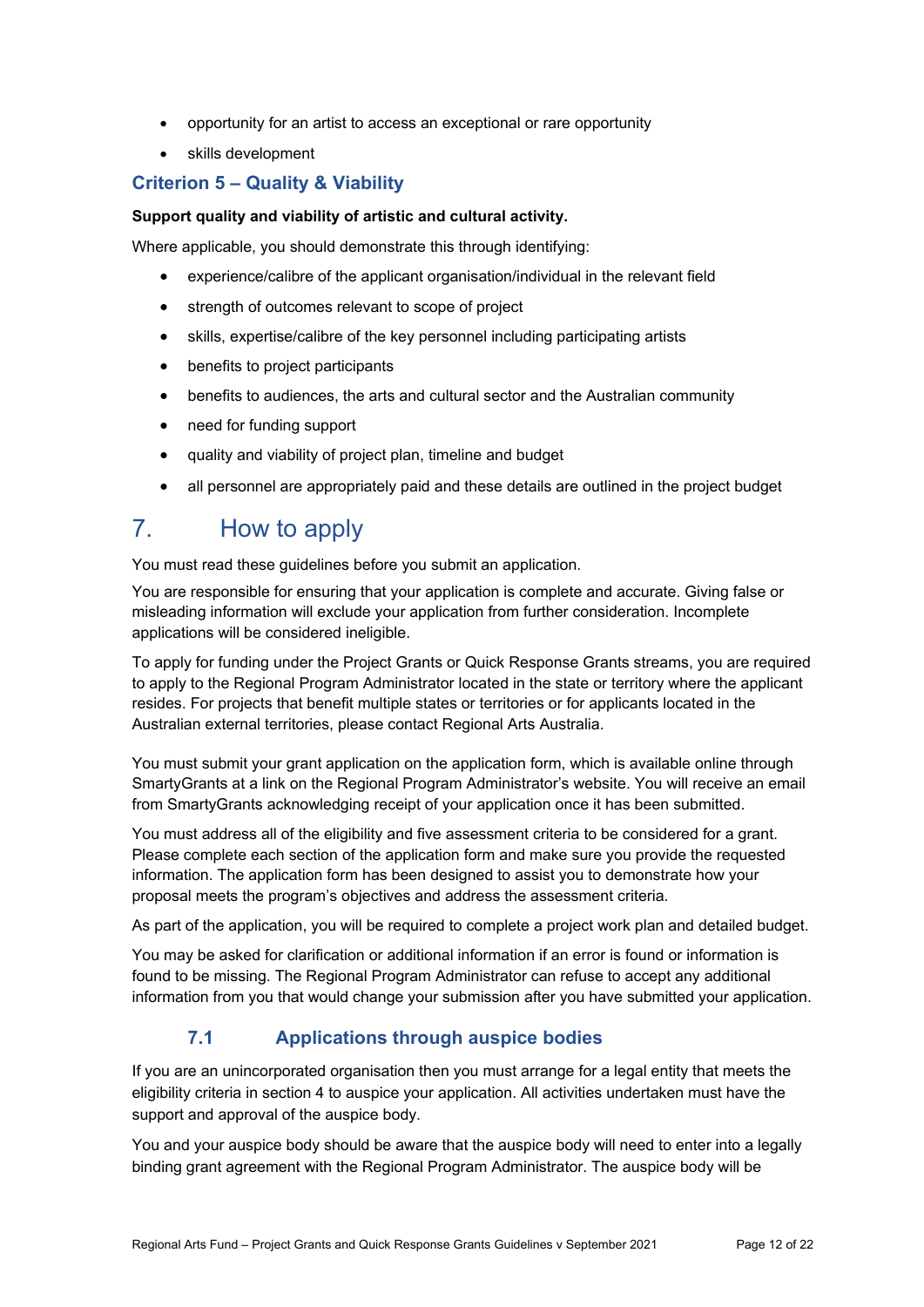- opportunity for an artist to access an exceptional or rare opportunity
- skills development

#### **Criterion 5 – Quality & Viability**

#### **Support quality and viability of artistic and cultural activity.**

Where applicable, you should demonstrate this through identifying:

- experience/calibre of the applicant organisation/individual in the relevant field
- strength of outcomes relevant to scope of project
- skills, expertise/calibre of the key personnel including participating artists
- benefits to project participants
- benefits to audiences, the arts and cultural sector and the Australian community
- need for funding support
- quality and viability of project plan, timeline and budget
- all personnel are appropriately paid and these details are outlined in the project budget

## 7. How to apply

You must read these guidelines before you submit an application.

You are responsible for ensuring that your application is complete and accurate. Giving false or misleading information will exclude your application from further consideration. Incomplete applications will be considered ineligible.

To apply for funding under the Project Grants or Quick Response Grants streams, you are required to apply to the Regional Program Administrator located in the state or territory where the applicant resides. For projects that benefit multiple states or territories or for applicants located in the Australian external territories, please contact Regional Arts Australia.

You must submit your grant application on the application form, which is available online through SmartyGrants at a link on the Regional Program Administrator's website. You will receive an email from SmartyGrants acknowledging receipt of your application once it has been submitted.

You must address all of the eligibility and five assessment criteria to be considered for a grant. Please complete each section of the application form and make sure you provide the requested information. The application form has been designed to assist you to demonstrate how your proposal meets the program's objectives and address the assessment criteria.

As part of the application, you will be required to complete a project work plan and detailed budget.

You may be asked for clarification or additional information if an error is found or information is found to be missing. The Regional Program Administrator can refuse to accept any additional information from you that would change your submission after you have submitted your application.

### **7.1 Applications through auspice bodies**

If you are an unincorporated organisation then you must arrange for a legal entity that meets the eligibility criteria in section 4 to auspice your application. All activities undertaken must have the support and approval of the auspice body.

You and your auspice body should be aware that the auspice body will need to enter into a legally binding grant agreement with the Regional Program Administrator. The auspice body will be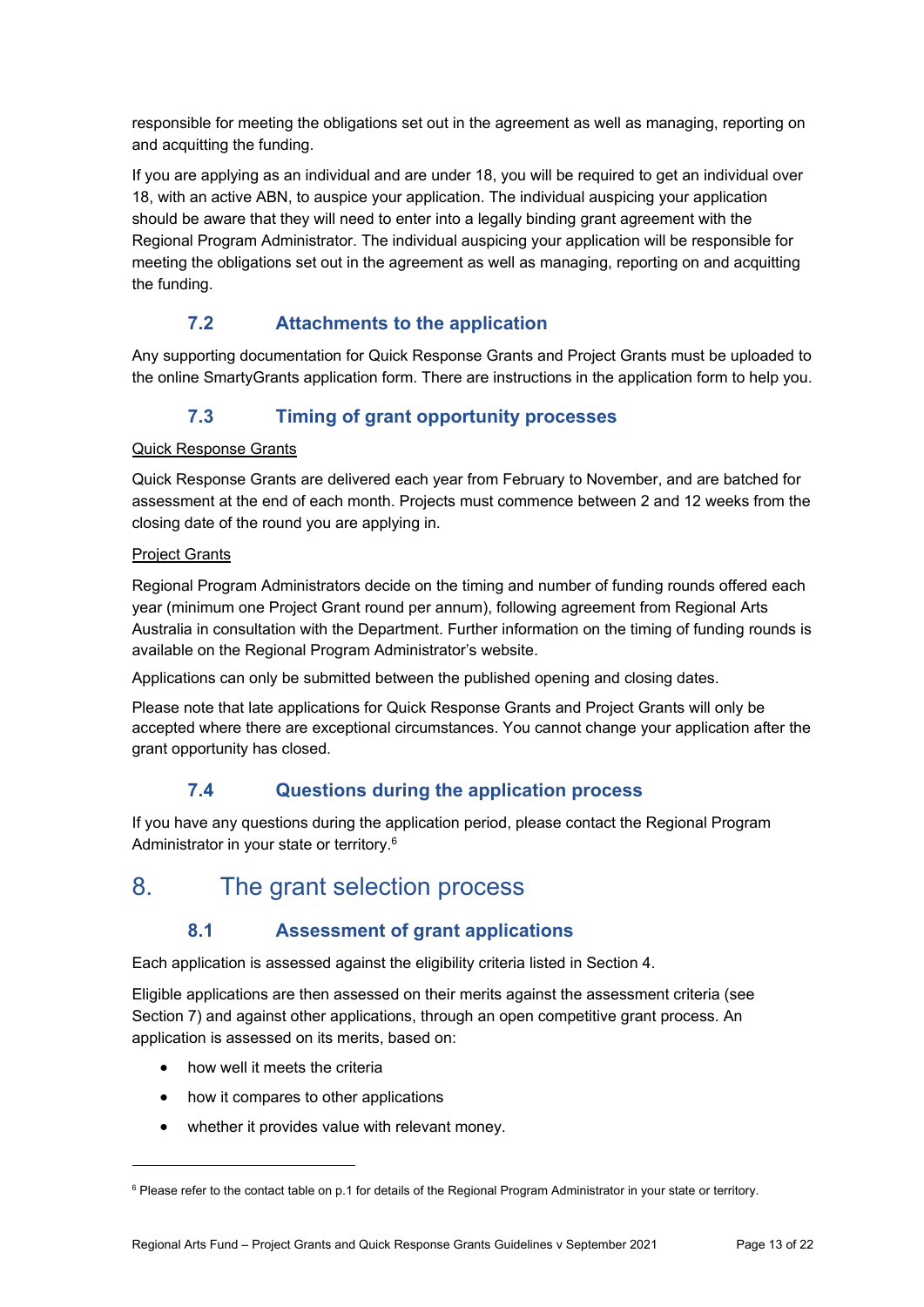responsible for meeting the obligations set out in the agreement as well as managing, reporting on and acquitting the funding.

If you are applying as an individual and are under 18, you will be required to get an individual over 18, with an active ABN, to auspice your application. The individual auspicing your application should be aware that they will need to enter into a legally binding grant agreement with the Regional Program Administrator. The individual auspicing your application will be responsible for meeting the obligations set out in the agreement as well as managing, reporting on and acquitting the funding.

## **7.2 Attachments to the application**

Any supporting documentation for Quick Response Grants and Project Grants must be uploaded to the online SmartyGrants application form. There are instructions in the application form to help you.

## **7.3 Timing of grant opportunity processes**

#### Quick Response Grants

Quick Response Grants are delivered each year from February to November, and are batched for assessment at the end of each month. Projects must commence between 2 and 12 weeks from the closing date of the round you are applying in.

#### Project Grants

Regional Program Administrators decide on the timing and number of funding rounds offered each year (minimum one Project Grant round per annum), following agreement from Regional Arts Australia in consultation with the Department. Further information on the timing of funding rounds is available on the Regional Program Administrator's website.

Applications can only be submitted between the published opening and closing dates.

Please note that late applications for Quick Response Grants and Project Grants will only be accepted where there are exceptional circumstances. You cannot change your application after the grant opportunity has closed.

### **7.4 Questions during the application process**

If you have any questions during the application period, please contact the Regional Program Administrator in your state or territory.<sup>6</sup>

## 8. The grant selection process

### **8.1 Assessment of grant applications**

Each application is assessed against the eligibility criteria listed in Section 4.

Eligible applications are then assessed on their merits against the assessment criteria (see Section 7) and against other applications, through an open competitive grant process. An application is assessed on its merits, based on:

how well it meets the criteria

1

- how it compares to other applications
- whether it provides value with relevant money.

<sup>&</sup>lt;sup>6</sup> Please refer to the contact table on p.1 for details of the Regional Program Administrator in your state or territory.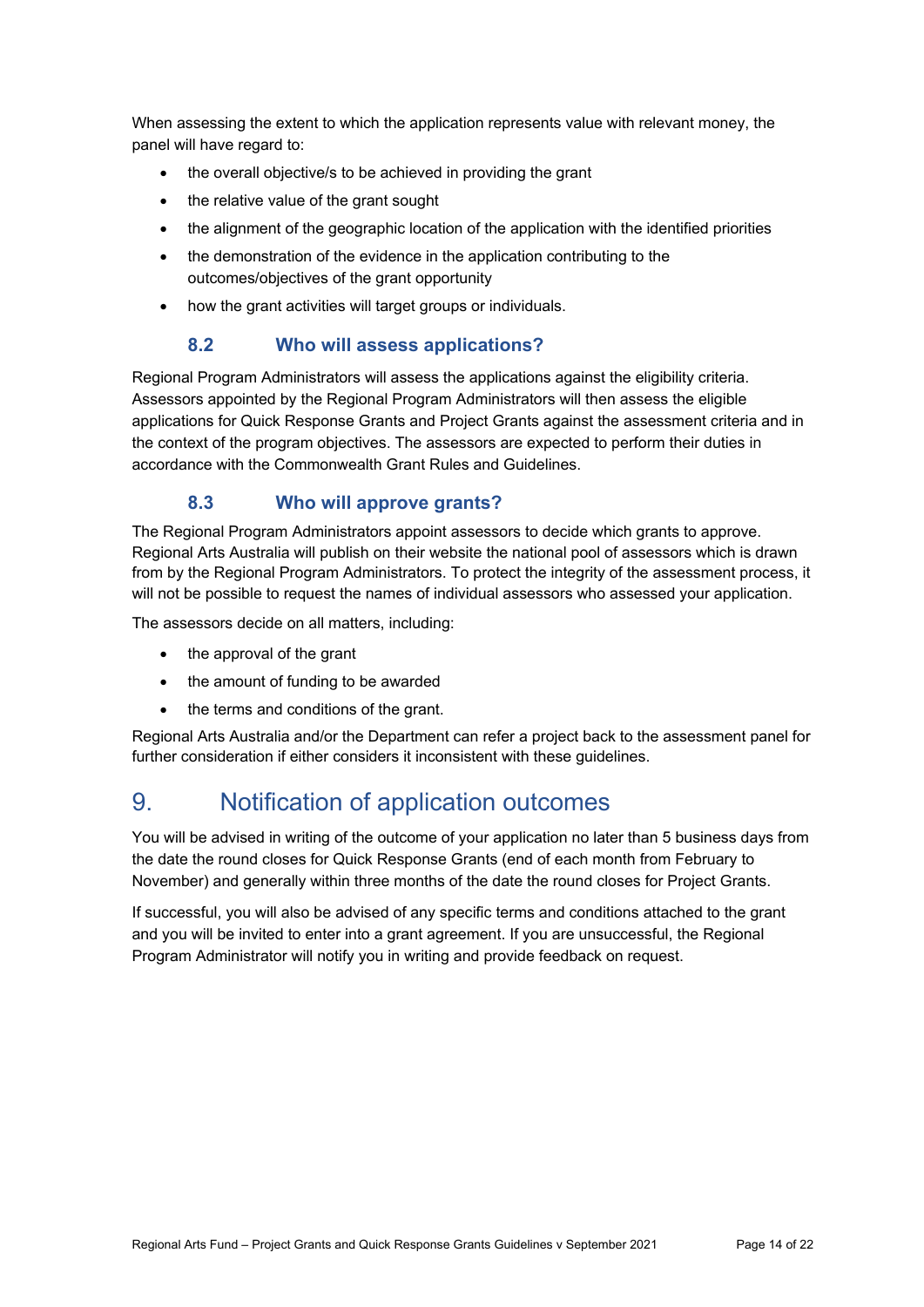When assessing the extent to which the application represents value with relevant money, the panel will have regard to:

- the overall objective/s to be achieved in providing the grant
- the relative value of the grant sought
- the alignment of the geographic location of the application with the identified priorities
- the demonstration of the evidence in the application contributing to the outcomes/objectives of the grant opportunity
- how the grant activities will target groups or individuals.

### **8.2 Who will assess applications?**

Regional Program Administrators will assess the applications against the eligibility criteria. Assessors appointed by the Regional Program Administrators will then assess the eligible applications for Quick Response Grants and Project Grants against the assessment criteria and in the context of the program objectives. The assessors are expected to perform their duties in accordance with the Commonwealth Grant Rules and Guidelines.

### **8.3 Who will approve grants?**

The Regional Program Administrators appoint assessors to decide which grants to approve. Regional Arts Australia will publish on their website the national pool of assessors which is drawn from by the Regional Program Administrators. To protect the integrity of the assessment process, it will not be possible to request the names of individual assessors who assessed your application.

The assessors decide on all matters, including:

- the approval of the grant
- the amount of funding to be awarded
- the terms and conditions of the grant.

Regional Arts Australia and/or the Department can refer a project back to the assessment panel for further consideration if either considers it inconsistent with these guidelines.

# 9. Notification of application outcomes

You will be advised in writing of the outcome of your application no later than 5 business days from the date the round closes for Quick Response Grants (end of each month from February to November) and generally within three months of the date the round closes for Project Grants.

If successful, you will also be advised of any specific terms and conditions attached to the grant and you will be invited to enter into a grant agreement. If you are unsuccessful, the Regional Program Administrator will notify you in writing and provide feedback on request.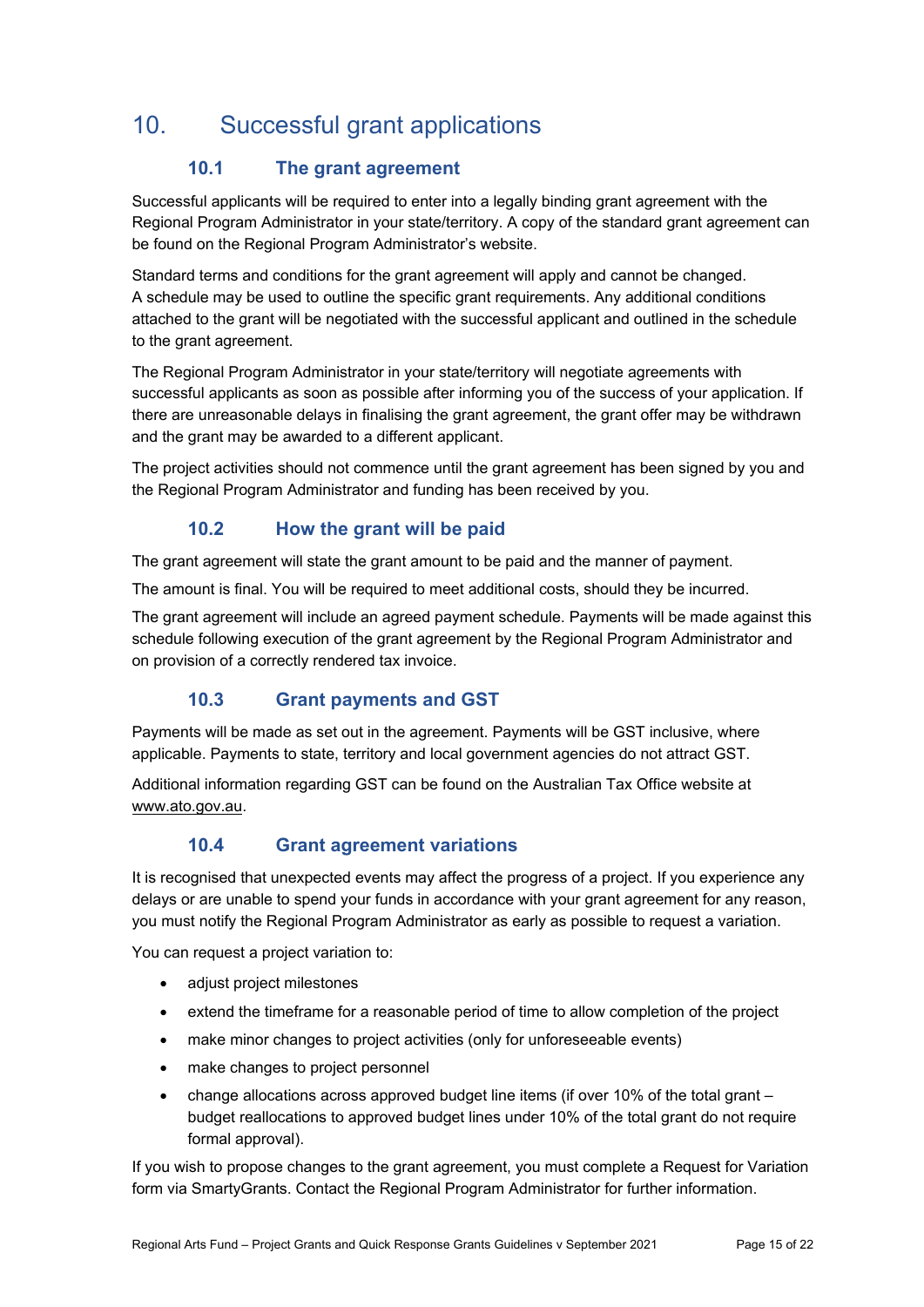# 10. Successful grant applications

## **10.1 The grant agreement**

Successful applicants will be required to enter into a legally binding grant agreement with the Regional Program Administrator in your state/territory. A copy of the standard grant agreement can be found on the Regional Program Administrator's website.

Standard terms and conditions for the grant agreement will apply and cannot be changed. A schedule may be used to outline the specific grant requirements. Any additional conditions attached to the grant will be negotiated with the successful applicant and outlined in the schedule to the grant agreement.

The Regional Program Administrator in your state/territory will negotiate agreements with successful applicants as soon as possible after informing you of the success of your application. If there are unreasonable delays in finalising the grant agreement, the grant offer may be withdrawn and the grant may be awarded to a different applicant.

The project activities should not commence until the grant agreement has been signed by you and the Regional Program Administrator and funding has been received by you.

## **10.2 How the grant will be paid**

The grant agreement will state the grant amount to be paid and the manner of payment.

The amount is final. You will be required to meet additional costs, should they be incurred.

The grant agreement will include an agreed payment schedule. Payments will be made against this schedule following execution of the grant agreement by the Regional Program Administrator and on provision of a correctly rendered tax invoice.

## **10.3 Grant payments and GST**

Payments will be made as set out in the agreement. Payments will be GST inclusive, where applicable. Payments to state, territory and local government agencies do not attract GST.

Additional information regarding GST can be found on the Australian Tax Office website at www.ato.gov.au.

### **10.4 Grant agreement variations**

It is recognised that unexpected events may affect the progress of a project. If you experience any delays or are unable to spend your funds in accordance with your grant agreement for any reason, you must notify the Regional Program Administrator as early as possible to request a variation.

You can request a project variation to:

- adjust project milestones
- extend the timeframe for a reasonable period of time to allow completion of the project
- make minor changes to project activities (only for unforeseeable events)
- make changes to project personnel
- change allocations across approved budget line items (if over 10% of the total grant budget reallocations to approved budget lines under 10% of the total grant do not require formal approval).

If you wish to propose changes to the grant agreement, you must complete a Request for Variation form via SmartyGrants. Contact the Regional Program Administrator for further information.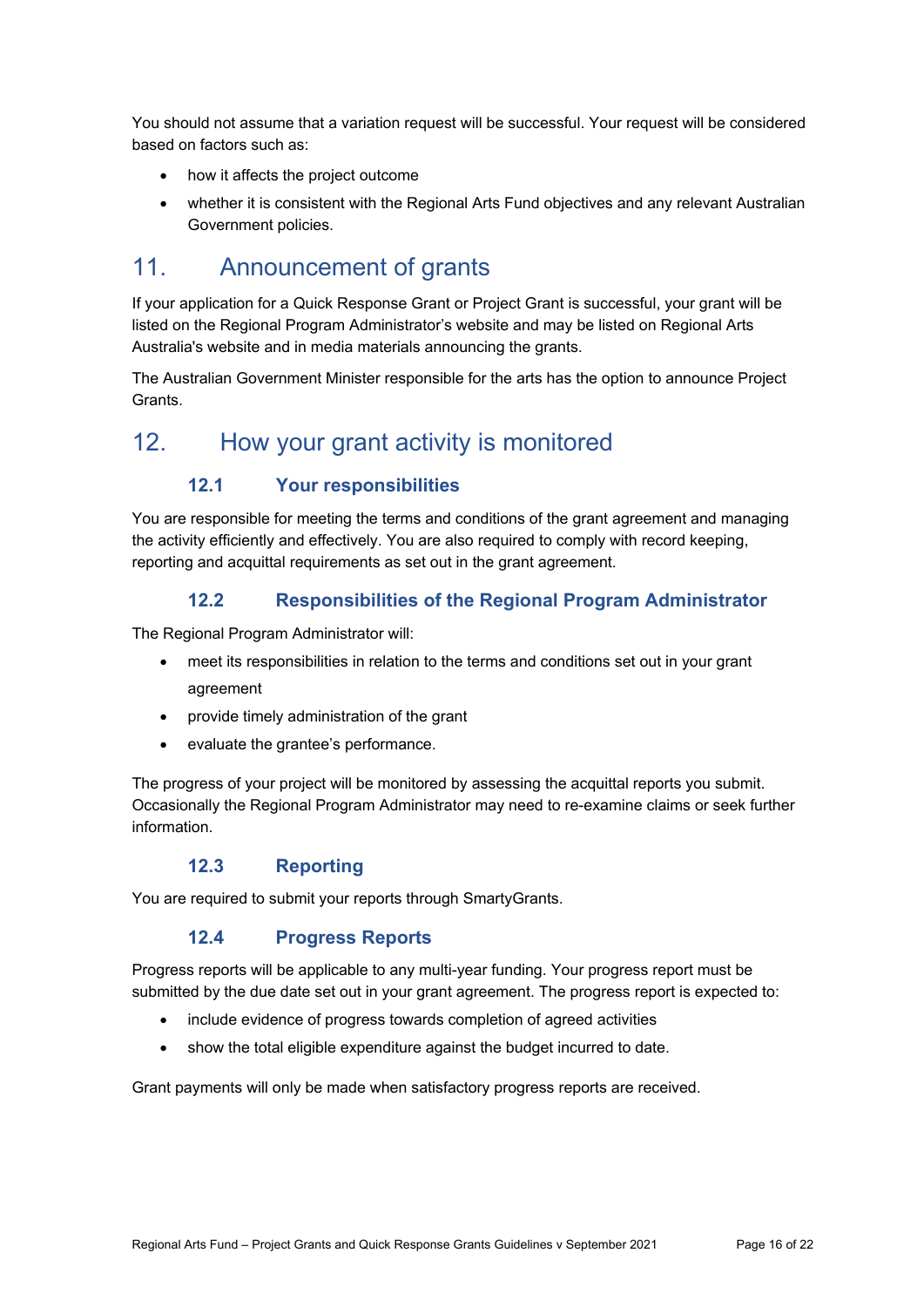You should not assume that a variation request will be successful. Your request will be considered based on factors such as:

- how it affects the project outcome
- whether it is consistent with the Regional Arts Fund objectives and any relevant Australian Government policies.

## 11. Announcement of grants

If your application for a Quick Response Grant or Project Grant is successful, your grant will be listed on the Regional Program Administrator's website and may be listed on Regional Arts Australia's website and in media materials announcing the grants.

The Australian Government Minister responsible for the arts has the option to announce Project Grants.

## 12. How your grant activity is monitored

### **12.1 Your responsibilities**

You are responsible for meeting the terms and conditions of the grant agreement and managing the activity efficiently and effectively. You are also required to comply with record keeping, reporting and acquittal requirements as set out in the grant agreement.

#### **12.2 Responsibilities of the Regional Program Administrator**

The Regional Program Administrator will:

- meet its responsibilities in relation to the terms and conditions set out in your grant agreement
- provide timely administration of the grant
- evaluate the grantee's performance.

The progress of your project will be monitored by assessing the acquittal reports you submit. Occasionally the Regional Program Administrator may need to re-examine claims or seek further information.

#### **12.3 Reporting**

You are required to submit your reports through SmartyGrants.

### **12.4 Progress Reports**

Progress reports will be applicable to any multi-year funding. Your progress report must be submitted by the due date set out in your grant agreement. The progress report is expected to:

- include evidence of progress towards completion of agreed activities
- show the total eligible expenditure against the budget incurred to date.

Grant payments will only be made when satisfactory progress reports are received.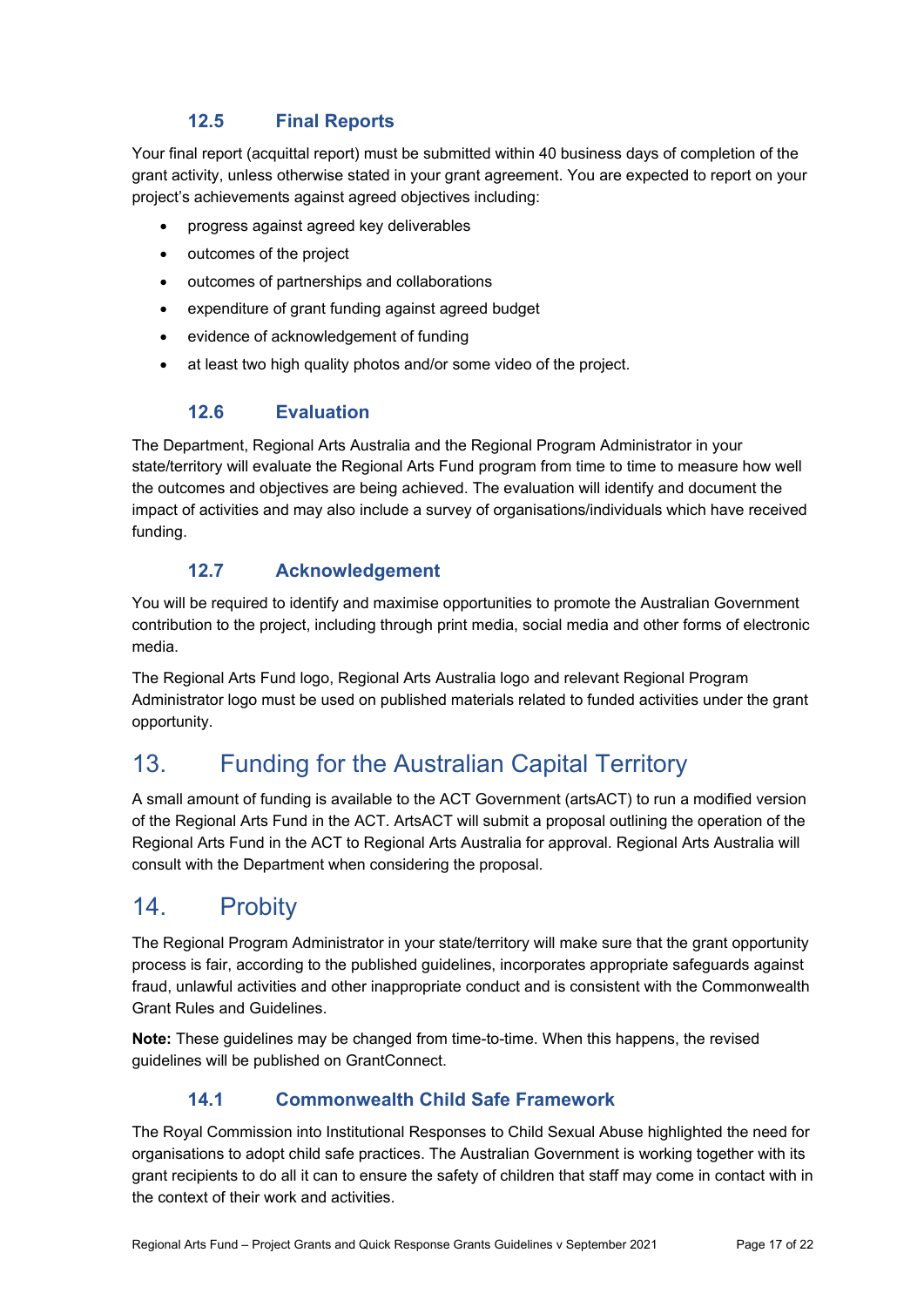## **12.5 Final Reports**

Your final report (acquittal report) must be submitted within 40 business days of completion of the grant activity, unless otherwise stated in your grant agreement. You are expected to report on your project's achievements against agreed objectives including:

- progress against agreed key deliverables
- outcomes of the project
- outcomes of partnerships and collaborations
- expenditure of grant funding against agreed budget
- evidence of acknowledgement of funding
- at least two high quality photos and/or some video of the project.

#### **12.6 Evaluation**

The Department, Regional Arts Australia and the Regional Program Administrator in your state/territory will evaluate the Regional Arts Fund program from time to time to measure how well the outcomes and objectives are being achieved. The evaluation will identify and document the impact of activities and may also include a survey of organisations/individuals which have received funding.

### **12.7 Acknowledgement**

You will be required to identify and maximise opportunities to promote the Australian Government contribution to the project, including through print media, social media and other forms of electronic media.

The Regional Arts Fund logo, Regional Arts Australia logo and relevant Regional Program Administrator logo must be used on published materials related to funded activities under the grant opportunity.

# 13. Funding for the Australian Capital Territory

A small amount of funding is available to the ACT Government (artsACT) to run a modified version of the Regional Arts Fund in the ACT. ArtsACT will submit a proposal outlining the operation of the Regional Arts Fund in the ACT to Regional Arts Australia for approval. Regional Arts Australia will consult with the Department when considering the proposal.

# 14. Probity

The Regional Program Administrator in your state/territory will make sure that the grant opportunity process is fair, according to the published guidelines, incorporates appropriate safeguards against fraud, unlawful activities and other inappropriate conduct and is consistent with the Commonwealth Grant Rules and Guidelines.

**Note:** These guidelines may be changed from time-to-time. When this happens, the revised guidelines will be published on GrantConnect.

### **14.1 Commonwealth Child Safe Framework**

The Royal Commission into Institutional Responses to Child Sexual Abuse highlighted the need for organisations to adopt child safe practices. The Australian Government is working together with its grant recipients to do all it can to ensure the safety of children that staff may come in contact with in the context of their work and activities.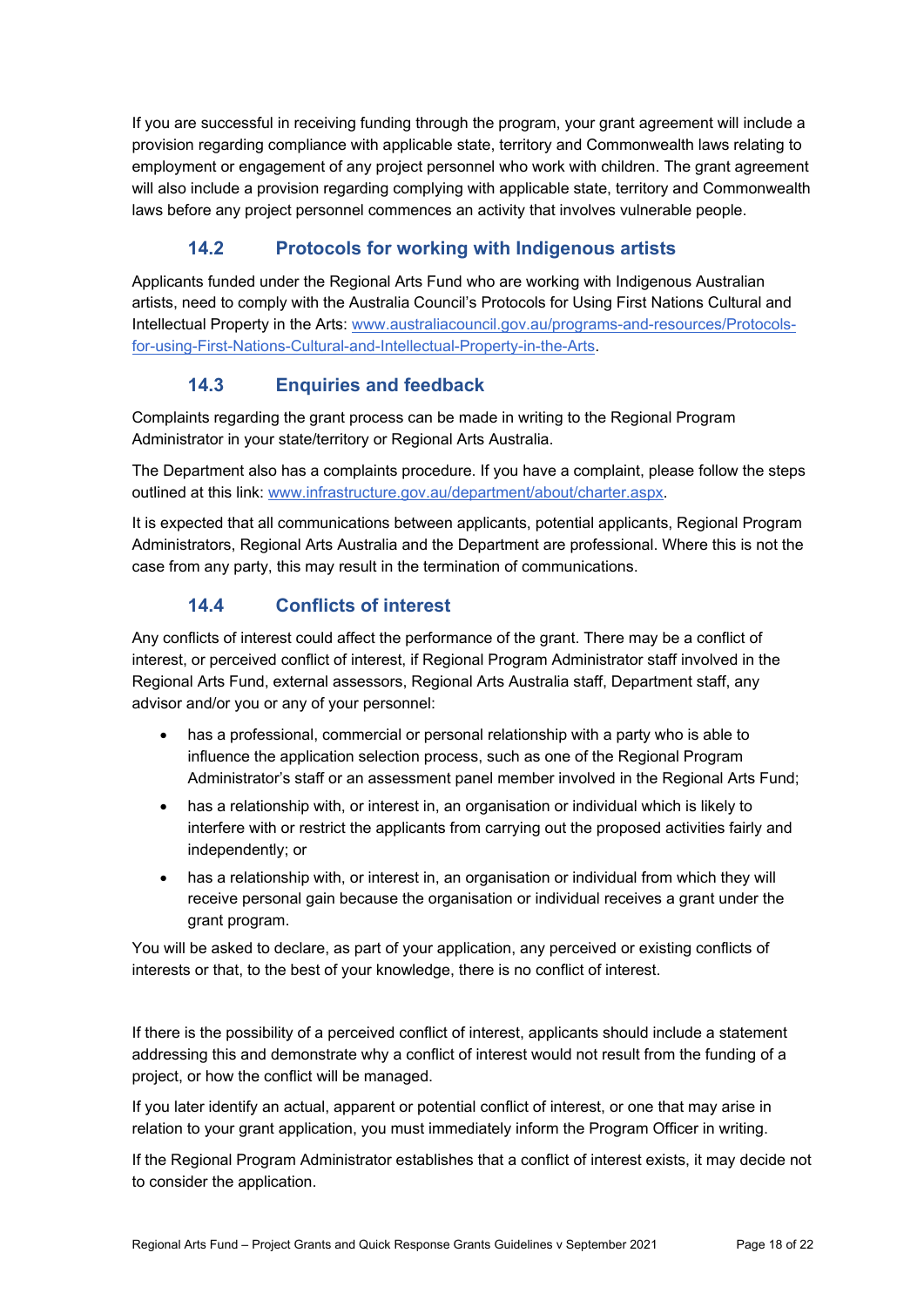If you are successful in receiving funding through the program, your grant agreement will include a provision regarding compliance with applicable state, territory and Commonwealth laws relating to employment or engagement of any project personnel who work with children. The grant agreement will also include a provision regarding complying with applicable state, territory and Commonwealth laws before any project personnel commences an activity that involves vulnerable people.

## **14.2 Protocols for working with Indigenous artists**

Applicants funded under the Regional Arts Fund who are working with Indigenous Australian artists, need to comply with the Australia Council's Protocols for Using First Nations Cultural and Intellectual Property in the Arts: www.australiacouncil.gov.au/programs-and-resources/Protocolsfor-using-First-Nations-Cultural-and-Intellectual-Property-in-the-Arts.

## **14.3 Enquiries and feedback**

Complaints regarding the grant process can be made in writing to the Regional Program Administrator in your state/territory or Regional Arts Australia.

The Department also has a complaints procedure. If you have a complaint, please follow the steps outlined at this link: www.infrastructure.gov.au/department/about/charter.aspx.

It is expected that all communications between applicants, potential applicants, Regional Program Administrators, Regional Arts Australia and the Department are professional. Where this is not the case from any party, this may result in the termination of communications.

## **14.4 Conflicts of interest**

Any conflicts of interest could affect the performance of the grant. There may be a conflict of interest, or perceived conflict of interest, if Regional Program Administrator staff involved in the Regional Arts Fund, external assessors, Regional Arts Australia staff, Department staff, any advisor and/or you or any of your personnel:

- has a professional, commercial or personal relationship with a party who is able to influence the application selection process, such as one of the Regional Program Administrator's staff or an assessment panel member involved in the Regional Arts Fund;
- has a relationship with, or interest in, an organisation or individual which is likely to interfere with or restrict the applicants from carrying out the proposed activities fairly and independently; or
- has a relationship with, or interest in, an organisation or individual from which they will receive personal gain because the organisation or individual receives a grant under the grant program.

You will be asked to declare, as part of your application, any perceived or existing conflicts of interests or that, to the best of your knowledge, there is no conflict of interest.

If there is the possibility of a perceived conflict of interest, applicants should include a statement addressing this and demonstrate why a conflict of interest would not result from the funding of a project, or how the conflict will be managed.

If you later identify an actual, apparent or potential conflict of interest, or one that may arise in relation to your grant application, you must immediately inform the Program Officer in writing.

If the Regional Program Administrator establishes that a conflict of interest exists, it may decide not to consider the application.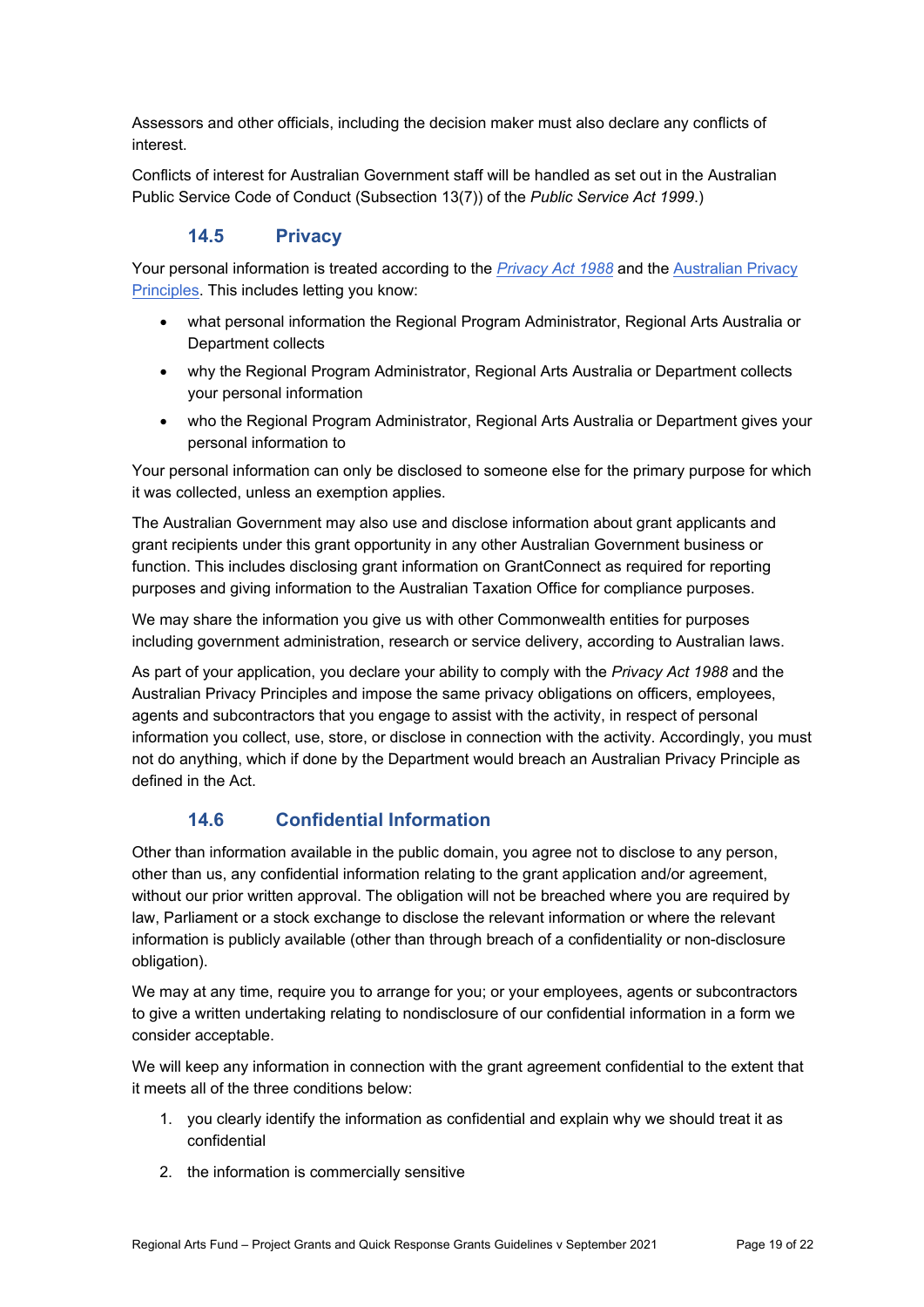Assessors and other officials, including the decision maker must also declare any conflicts of interest.

Conflicts of interest for Australian Government staff will be handled as set out in the Australian Public Service Code of Conduct (Subsection 13(7)) of the *Public Service Act 1999*.)

## **14.5 Privacy**

Your personal information is treated according to the *Privacy Act 1988* and the Australian Privacy Principles. This includes letting you know:

- what personal information the Regional Program Administrator, Regional Arts Australia or Department collects
- why the Regional Program Administrator, Regional Arts Australia or Department collects your personal information
- who the Regional Program Administrator, Regional Arts Australia or Department gives your personal information to

Your personal information can only be disclosed to someone else for the primary purpose for which it was collected, unless an exemption applies.

The Australian Government may also use and disclose information about grant applicants and grant recipients under this grant opportunity in any other Australian Government business or function. This includes disclosing grant information on GrantConnect as required for reporting purposes and giving information to the Australian Taxation Office for compliance purposes.

We may share the information you give us with other Commonwealth entities for purposes including government administration, research or service delivery, according to Australian laws.

As part of your application, you declare your ability to comply with the *Privacy Act 1988* and the Australian Privacy Principles and impose the same privacy obligations on officers, employees, agents and subcontractors that you engage to assist with the activity, in respect of personal information you collect, use, store, or disclose in connection with the activity. Accordingly, you must not do anything, which if done by the Department would breach an Australian Privacy Principle as defined in the Act.

### **14.6 Confidential Information**

Other than information available in the public domain, you agree not to disclose to any person, other than us, any confidential information relating to the grant application and/or agreement, without our prior written approval. The obligation will not be breached where you are required by law, Parliament or a stock exchange to disclose the relevant information or where the relevant information is publicly available (other than through breach of a confidentiality or non-disclosure obligation).

We may at any time, require you to arrange for you; or your employees, agents or subcontractors to give a written undertaking relating to nondisclosure of our confidential information in a form we consider acceptable.

We will keep any information in connection with the grant agreement confidential to the extent that it meets all of the three conditions below:

- 1. you clearly identify the information as confidential and explain why we should treat it as confidential
- 2. the information is commercially sensitive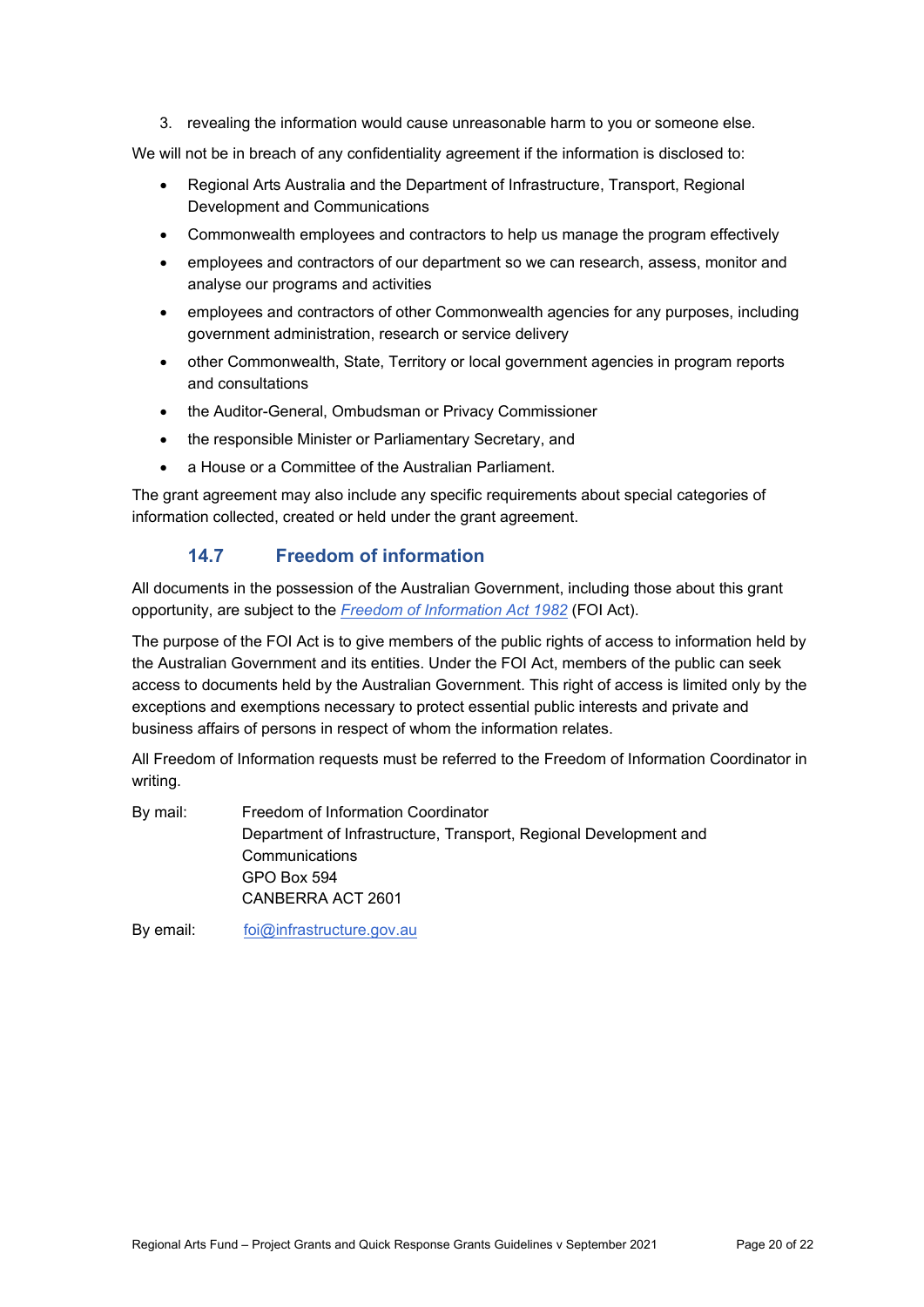3. revealing the information would cause unreasonable harm to you or someone else.

We will not be in breach of any confidentiality agreement if the information is disclosed to:

- Regional Arts Australia and the Department of Infrastructure, Transport, Regional Development and Communications
- Commonwealth employees and contractors to help us manage the program effectively
- employees and contractors of our department so we can research, assess, monitor and analyse our programs and activities
- employees and contractors of other Commonwealth agencies for any purposes, including government administration, research or service delivery
- other Commonwealth, State, Territory or local government agencies in program reports and consultations
- the Auditor-General, Ombudsman or Privacy Commissioner
- the responsible Minister or Parliamentary Secretary, and
- a House or a Committee of the Australian Parliament.

The grant agreement may also include any specific requirements about special categories of information collected, created or held under the grant agreement.

#### **14.7 Freedom of information**

All documents in the possession of the Australian Government, including those about this grant opportunity, are subject to the *Freedom of Information Act 1982* (FOI Act).

The purpose of the FOI Act is to give members of the public rights of access to information held by the Australian Government and its entities. Under the FOI Act, members of the public can seek access to documents held by the Australian Government. This right of access is limited only by the exceptions and exemptions necessary to protect essential public interests and private and business affairs of persons in respect of whom the information relates.

All Freedom of Information requests must be referred to the Freedom of Information Coordinator in writing.

By mail: Freedom of Information Coordinator Department of Infrastructure, Transport, Regional Development and **Communications** GPO Box 594 CANBERRA ACT 2601

By email: foi@infrastructure.gov.au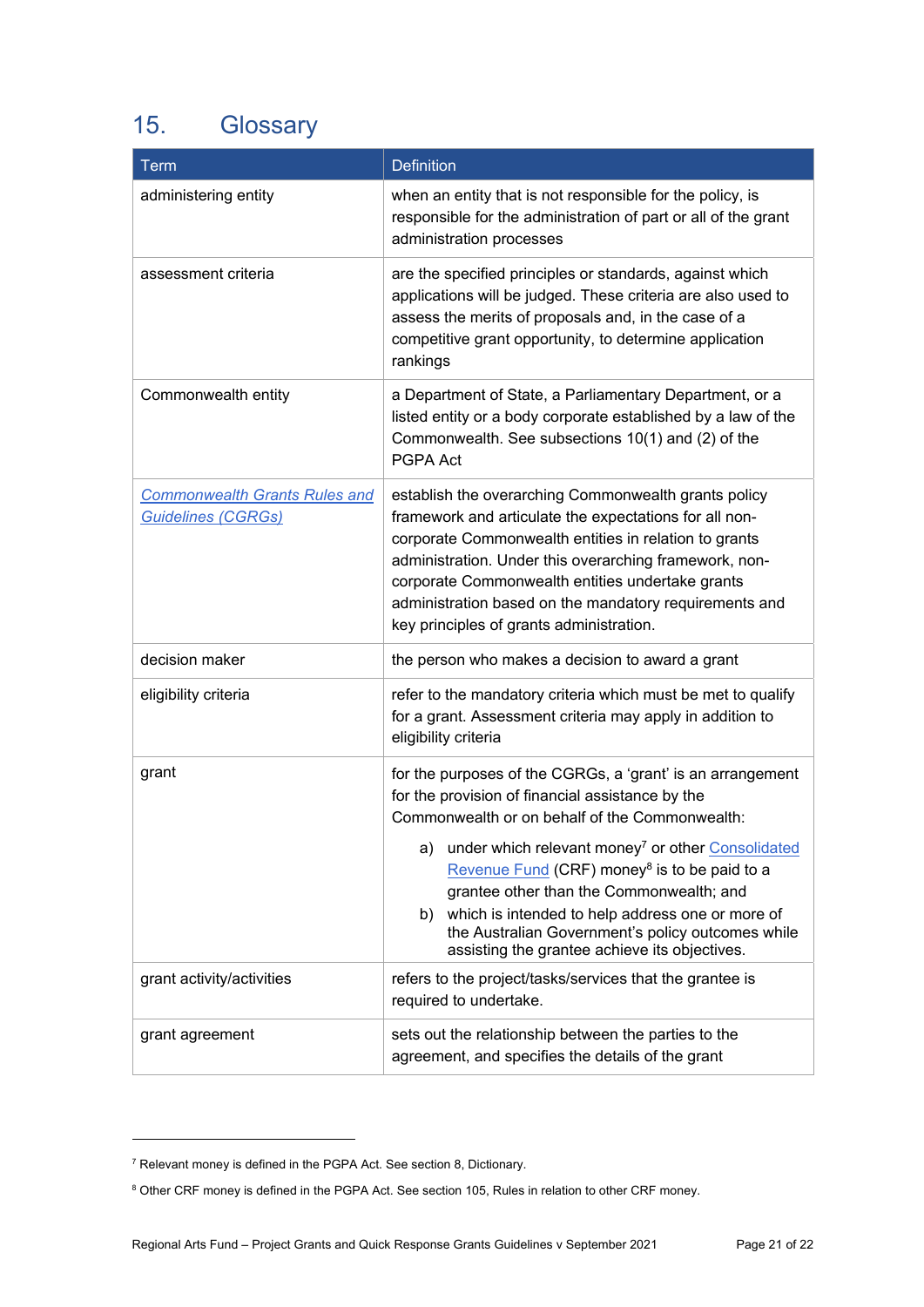# 15. Glossary

| Term                                                              | <b>Definition</b>                                                                                                                                                                                                                                                                                                                                                                                                                                                                                               |
|-------------------------------------------------------------------|-----------------------------------------------------------------------------------------------------------------------------------------------------------------------------------------------------------------------------------------------------------------------------------------------------------------------------------------------------------------------------------------------------------------------------------------------------------------------------------------------------------------|
| administering entity                                              | when an entity that is not responsible for the policy, is<br>responsible for the administration of part or all of the grant<br>administration processes                                                                                                                                                                                                                                                                                                                                                         |
| assessment criteria                                               | are the specified principles or standards, against which<br>applications will be judged. These criteria are also used to<br>assess the merits of proposals and, in the case of a<br>competitive grant opportunity, to determine application<br>rankings                                                                                                                                                                                                                                                         |
| Commonwealth entity                                               | a Department of State, a Parliamentary Department, or a<br>listed entity or a body corporate established by a law of the<br>Commonwealth. See subsections 10(1) and (2) of the<br>PGPA Act                                                                                                                                                                                                                                                                                                                      |
| <b>Commonwealth Grants Rules and</b><br><b>Guidelines (CGRGs)</b> | establish the overarching Commonwealth grants policy<br>framework and articulate the expectations for all non-<br>corporate Commonwealth entities in relation to grants<br>administration. Under this overarching framework, non-<br>corporate Commonwealth entities undertake grants<br>administration based on the mandatory requirements and<br>key principles of grants administration.                                                                                                                     |
| decision maker                                                    | the person who makes a decision to award a grant                                                                                                                                                                                                                                                                                                                                                                                                                                                                |
| eligibility criteria                                              | refer to the mandatory criteria which must be met to qualify<br>for a grant. Assessment criteria may apply in addition to<br>eligibility criteria                                                                                                                                                                                                                                                                                                                                                               |
| grant                                                             | for the purposes of the CGRGs, a 'grant' is an arrangement<br>for the provision of financial assistance by the<br>Commonwealth or on behalf of the Commonwealth:<br>under which relevant money <sup>7</sup> or other Consolidated<br>a)<br>Revenue Fund (CRF) money <sup>8</sup> is to be paid to a<br>grantee other than the Commonwealth; and<br>which is intended to help address one or more of<br>b)<br>the Australian Government's policy outcomes while<br>assisting the grantee achieve its objectives. |
| grant activity/activities                                         | refers to the project/tasks/services that the grantee is<br>required to undertake.                                                                                                                                                                                                                                                                                                                                                                                                                              |
| grant agreement                                                   | sets out the relationship between the parties to the<br>agreement, and specifies the details of the grant                                                                                                                                                                                                                                                                                                                                                                                                       |

1

<sup>&</sup>lt;sup>7</sup> Relevant money is defined in the PGPA Act. See section 8, Dictionary.

<sup>&</sup>lt;sup>8</sup> Other CRF money is defined in the PGPA Act. See section 105, Rules in relation to other CRF money.